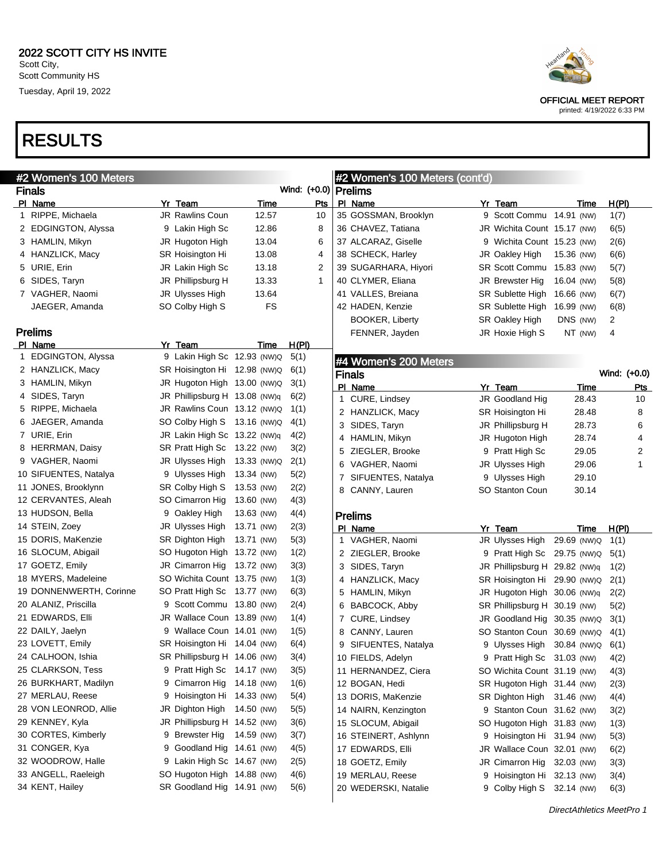Scott Community HS Tuesday, April 19, 2022

## RESULTS

| Heartland                                                 |
|-----------------------------------------------------------|
| <b>OFFICIAL MEET REPORT</b><br>printed: 4/19/2022 6:33 PM |

| #2 Women's 100 Meters   |                               |             |              | #2 Women's 100 Meters (cont'd) |                               |             |              |            |
|-------------------------|-------------------------------|-------------|--------------|--------------------------------|-------------------------------|-------------|--------------|------------|
| <b>Finals</b>           |                               |             | Wind: (+0.0) | <b>Prelims</b>                 |                               |             |              |            |
| PI Name                 | Yr Team                       | <u>Time</u> | Pts          | PI Name                        | Yr Team                       | Time        | H(PI)        |            |
| 1 RIPPE, Michaela       | JR Rawlins Coun               | 12.57       | 10           | 35 GOSSMAN, Brooklyn           | 9 Scott Commu 14.91 (NW)      |             | 1(7)         |            |
| 2 EDGINGTON, Alyssa     | 9 Lakin High Sc               | 12.86       | 8            | 36 CHAVEZ, Tatiana             | JR Wichita Count 15.17 (NW)   |             | 6(5)         |            |
| 3 HAMLIN, Mikyn         | JR Hugoton High               | 13.04       | 6            | 37 ALCARAZ, Giselle            | 9 Wichita Count 15.23 (NW)    |             | 2(6)         |            |
| 4 HANZLICK, Macy        | SR Hoisington Hi              | 13.08       | 4            | 38 SCHECK, Harley              | JR Oakley High                | 15.36 (NW)  | 6(6)         |            |
| 5 URIE, Erin            | JR Lakin High Sc              | 13.18       | 2            | 39 SUGARHARA, Hiyori           | <b>SR Scott Commu</b>         | 15.83 (NW)  | 5(7)         |            |
| 6 SIDES, Taryn          | JR Phillipsburg H             | 13.33       | $\mathbf 1$  | 40 CLYMER, Eliana              | JR Brewster Hig               | 16.04 (NW)  | 5(8)         |            |
| 7 VAGHER, Naomi         | JR Ulysses High               | 13.64       |              | 41 VALLES, Breiana             | <b>SR Sublette High</b>       | 16.66 (NW)  | 6(7)         |            |
| JAEGER, Amanda          | SO Colby High S               | FS          |              | 42 HADEN, Kenzie               | <b>SR Sublette High</b>       | 16.99 (NW)  | 6(8)         |            |
|                         |                               |             |              | <b>BOOKER, Liberty</b>         | SR Oakley High                | DNS (NW)    | 2            |            |
| <b>Prelims</b>          |                               |             |              | FENNER, Jayden                 | JR Hoxie High S               | NT (NW)     | 4            |            |
| PI Name                 | Yr Team                       | Time        | <u>H(PI)</u> |                                |                               |             |              |            |
| 1 EDGINGTON, Alyssa     | 9 Lakin High Sc 12.93 (NW)Q   |             | 5(1)         | #4 Women's 200 Meters          |                               |             |              |            |
| 2 HANZLICK, Macy        | SR Hoisington Hi 12.98 (NW)Q  |             | 6(1)         | <b>Finals</b>                  |                               |             | Wind: (+0.0) |            |
| 3 HAMLIN, Mikyn         | JR Hugoton High 13.00 (NW)Q   |             | 3(1)         | PI Name                        | Yr Team                       | Time        |              | <u>Pts</u> |
| 4 SIDES, Taryn          | JR Phillipsburg H 13.08 (NW)q |             | 6(2)         | 1 CURE, Lindsey                | JR Goodland Hig               | 28.43       |              | 10         |
| 5 RIPPE, Michaela       | JR Rawlins Coun 13.12 (NW)Q   |             | 1(1)         | 2 HANZLICK, Macy               | SR Hoisington Hi              | 28.48       |              | 8          |
| 6 JAEGER, Amanda        | SO Colby High S 13.16 (NW)Q   |             | 4(1)         | 3 SIDES, Taryn                 | JR Phillipsburg H             | 28.73       |              | 6          |
| 7 URIE, Erin            | JR Lakin High Sc 13.22 (NW)q  |             | 4(2)         | 4 HAMLIN, Mikyn                | JR Hugoton High               | 28.74       |              | 4          |
| 8 HERRMAN, Daisy        | SR Pratt High Sc 13.22 (NW)   |             | 3(2)         | 5 ZIEGLER, Brooke              | 9 Pratt High Sc               | 29.05       |              | 2          |
| 9 VAGHER, Naomi         | JR Ulysses High 13.33 (NW)Q   |             | 2(1)         | 6 VAGHER, Naomi                | JR Ulysses High               | 29.06       |              | 1          |
| 10 SIFUENTES, Natalya   | 9 Ulysses High 13.34 (NW)     |             | 5(2)         | 7 SIFUENTES, Natalya           | 9 Ulysses High                | 29.10       |              |            |
| 11 JONES, Brooklynn     | SR Colby High S 13.53 (NW)    |             | 2(2)         | 8 CANNY, Lauren                | SO Stanton Coun               | 30.14       |              |            |
| 12 CERVANTES, Aleah     | SO Cimarron Hig               | 13.60 (NW)  | 4(3)         |                                |                               |             |              |            |
| 13 HUDSON, Bella        | 9 Oakley High                 | 13.63 (NW)  | 4(4)         | <b>Prelims</b>                 |                               |             |              |            |
| 14 STEIN, Zoey          | JR Ulysses High               | 13.71 (NW)  | 2(3)         | PI Name                        | Yr Team                       | Time        | H(PI)        |            |
| 15 DORIS, MaKenzie      | SR Dighton High               | 13.71 (NW)  | 5(3)         | 1 VAGHER, Naomi                | JR Ulysses High               | 29.69 (NW)Q | 1(1)         |            |
| 16 SLOCUM, Abigail      | SO Hugoton High 13.72 (NW)    |             | 1(2)         | 2 ZIEGLER, Brooke              | 9 Pratt High Sc 29.75 (NW)Q   |             | 5(1)         |            |
| 17 GOETZ, Emily         | JR Cimarron Hig 13.72 (NW)    |             | 3(3)         | 3 SIDES, Taryn                 | JR Phillipsburg H 29.82 (NW)q |             | 1(2)         |            |
| 18 MYERS, Madeleine     | SO Wichita Count 13.75 (NW)   |             | 1(3)         | 4 HANZLICK, Macy               | SR Hoisington Hi 29.90 (NW)Q  |             | 2(1)         |            |
| 19 DONNENWERTH, Corinne | SO Pratt High Sc 13.77 (NW)   |             | 6(3)         | 5 HAMLIN, Mikyn                | JR Hugoton High 30.06 (NW)q   |             | 2(2)         |            |
| 20 ALANIZ, Priscilla    | 9 Scott Commu 13.80 (NW)      |             | 2(4)         | 6 BABCOCK, Abby                | SR Phillipsburg H 30.19 (NW)  |             | 5(2)         |            |
| 21 EDWARDS, Elli        | JR Wallace Coun 13.89 (NW)    |             | 1(4)         | 7 CURE, Lindsey                | JR Goodland Hig 30.35 (NW)Q   |             | 3(1)         |            |
| 22 DAILY, Jaelyn        | 9 Wallace Coun 14.01 (NW)     |             | 1(5)         | 8 CANNY, Lauren                | SO Stanton Coun 30.69 (NW)Q   |             | 4(1)         |            |
| 23 LOVETT, Emily        | SR Hoisington Hi 14.04 (NW)   |             | 6(4)         | 9 SIFUENTES, Natalya           | 9 Ulysses High 30.84 (NW)Q    |             | 6(1)         |            |
| 24 CALHOON, Ishia       | SR Phillipsburg H 14.06 (NW)  |             | 3(4)         | 10 FIELDS, Adelyn              | 9 Pratt High Sc 31.03 (NW)    |             | 4(2)         |            |
| 25 CLARKSON, Tess       | 9 Pratt High Sc 14.17 (NW)    |             | 3(5)         | 11 HERNANDEZ, Ciera            | SO Wichita Count 31.19 (NW)   |             | 4(3)         |            |
| 26 BURKHART, Madilyn    | 9 Cimarron Hig 14.18 (NW)     |             | 1(6)         | 12 BOGAN, Hedi                 | SR Hugoton High 31.44 (NW)    |             | 2(3)         |            |
| 27 MERLAU, Reese        | 9 Hoisington Hi 14.33 (NW)    |             | 5(4)         | 13 DORIS, MaKenzie             | SR Dighton High 31.46 (NW)    |             | 4(4)         |            |
| 28 VON LEONROD, Allie   | JR Dighton High 14.50 (NW)    |             | 5(5)         | 14 NAIRN, Kenzington           | 9 Stanton Coun 31.62 (NW)     |             | 3(2)         |            |
| 29 KENNEY, Kyla         | JR Phillipsburg H 14.52 (NW)  |             | 3(6)         | 15 SLOCUM, Abigail             | SO Hugoton High 31.83 (NW)    |             | 1(3)         |            |
| 30 CORTES, Kimberly     | 9 Brewster Hig 14.59 (NW)     |             | 3(7)         | 16 STEINERT, Ashlynn           | 9 Hoisington Hi 31.94 (NW)    |             | 5(3)         |            |
| 31 CONGER, Kya          | 9 Goodland Hig 14.61 (NW)     |             | 4(5)         | 17 EDWARDS, Elli               | JR Wallace Coun 32.01 (NW)    |             | 6(2)         |            |
| 32 WOODROW, Halle       | 9 Lakin High Sc 14.67 (NW)    |             | 2(5)         | 18 GOETZ, Emily                | JR Cimarron Hig               | 32.03 (NW)  | 3(3)         |            |
| 33 ANGELL, Raeleigh     | SO Hugoton High 14.88 (NW)    |             | 4(6)         | 19 MERLAU, Reese               | 9 Hoisington Hi 32.13 (NW)    |             | 3(4)         |            |
| 34 KENT, Hailey         | SR Goodland Hig 14.91 (NW)    |             | 5(6)         | 20 WEDERSKI, Natalie           | 9 Colby High S 32.14 (NW)     |             | 6(3)         |            |
|                         |                               |             |              |                                |                               |             |              |            |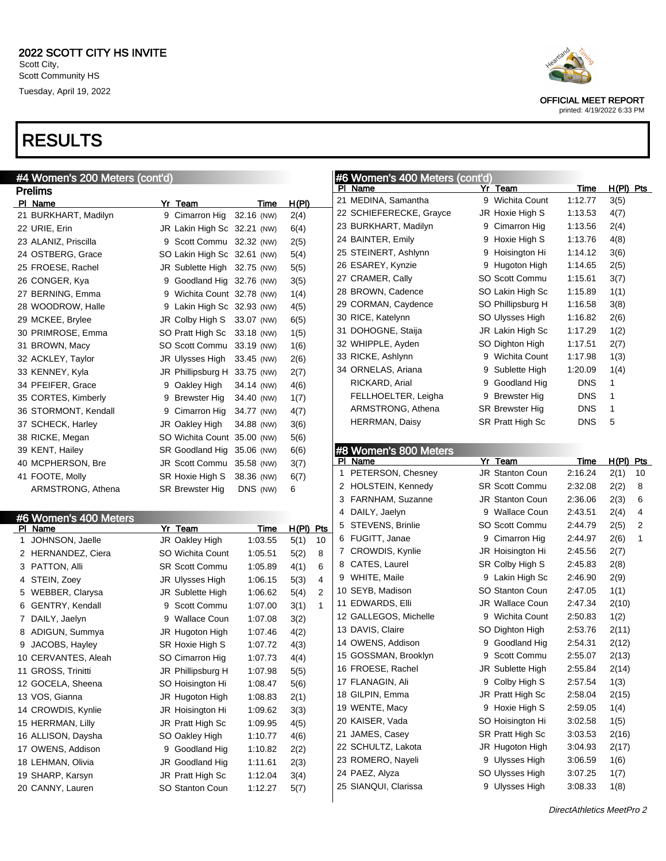| #4 Women's 200 Meters (cont'd)   |                              |            |                      |                |   | #6 Women's 400 Meters (cont'd) |   |                        |             |              |                |
|----------------------------------|------------------------------|------------|----------------------|----------------|---|--------------------------------|---|------------------------|-------------|--------------|----------------|
| <b>Prelims</b>                   |                              |            |                      |                |   | PI Name                        |   | Yr Team                | <b>Time</b> | H(PI) Pts    |                |
| PI Name                          | Yr Team                      | Time       | H(PI)                |                |   | 21 MEDINA, Samantha            |   | 9 Wichita Count        | 1:12.77     | 3(5)         |                |
| 21 BURKHART, Madilyn             | 9 Cimarron Hig 32.16 (NW)    |            | 2(4)                 |                |   | 22 SCHIEFERECKE, Grayce        |   | JR Hoxie High S        | 1:13.53     | 4(7)         |                |
| 22 URIE, Erin                    | JR Lakin High Sc 32.21 (NW)  |            | 6(4)                 |                |   | 23 BURKHART, Madilyn           | 9 | Cimarron Hig           | 1:13.56     | 2(4)         |                |
| 23 ALANIZ, Priscilla             | 9 Scott Commu 32.32 (NW)     |            | 2(5)                 |                |   | 24 BAINTER, Emily              |   | 9 Hoxie High S         | 1:13.76     | 4(8)         |                |
| 24 OSTBERG, Grace                | SO Lakin High Sc 32.61 (NW)  |            | 5(4)                 |                |   | 25 STEINERT, Ashlynn           |   | 9 Hoisington Hi        | 1:14.12     | 3(6)         |                |
| 25 FROESE, Rachel                | JR Sublette High 32.75 (NW)  |            | 5(5)                 |                |   | 26 ESAREY, Kynzie              |   | 9 Hugoton High         | 1:14.65     | 2(5)         |                |
| 26 CONGER, Kya                   | 9 Goodland Hig 32.76 (NW)    |            | 3(5)                 |                |   | 27 CRAMER, Cally               |   | SO Scott Commu         | 1:15.61     | 3(7)         |                |
| 27 BERNING, Emma                 | 9 Wichita Count 32.78 (NW)   |            | 1(4)                 |                |   | 28 BROWN, Cadence              |   | SO Lakin High Sc       | 1:15.89     | 1(1)         |                |
| 28 WOODROW, Halle                | 9 Lakin High Sc 32.93 (NW)   |            | 4(5)                 |                |   | 29 CORMAN, Caydence            |   | SO Phillipsburg H      | 1:16.58     | 3(8)         |                |
| 29 MCKEE, Brylee                 | JR Colby High S 33.07 (NW)   |            | 6(5)                 |                |   | 30 RICE, Katelynn              |   | SO Ulysses High        | 1:16.82     | 2(6)         |                |
| 30 PRIMROSE, Emma                | SO Pratt High Sc 33.18 (NW)  |            | 1(5)                 |                |   | 31 DOHOGNE, Staija             |   | JR Lakin High Sc       | 1:17.29     | 1(2)         |                |
| 31 BROWN, Macy                   | SO Scott Commu 33.19 (NW)    |            | 1(6)                 |                |   | 32 WHIPPLE, Ayden              |   | SO Dighton High        | 1:17.51     | 2(7)         |                |
| 32 ACKLEY, Taylor                | JR Ulysses High              | 33.45 (NW) | 2(6)                 |                |   | 33 RICKE, Ashlynn              |   | 9 Wichita Count        | 1:17.98     | 1(3)         |                |
| 33 KENNEY, Kyla                  | JR Phillipsburg H 33.75 (NW) |            | 2(7)                 |                |   | 34 ORNELAS, Ariana             | 9 | Sublette High          | 1:20.09     | 1(4)         |                |
| 34 PFEIFER, Grace                | 9 Oakley High                | 34.14 (NW) | 4(6)                 |                |   | RICKARD, Arial                 | 9 | Goodland Hig           | <b>DNS</b>  | 1            |                |
| 35 CORTES, Kimberly              | 9 Brewster Hig               | 34.40 (NW) | 1(7)                 |                |   | FELLHOELTER, Leigha            |   | 9 Brewster Hig         | <b>DNS</b>  | $\mathbf 1$  |                |
| 36 STORMONT, Kendall             | 9 Cimarron Hig               | 34.77 (NW) | 4(7)                 |                |   | ARMSTRONG, Athena              |   | SR Brewster Hig        | <b>DNS</b>  | $\mathbf{1}$ |                |
| 37 SCHECK, Harley                | JR Oakley High               | 34.88 (NW) | 3(6)                 |                |   | <b>HERRMAN, Daisy</b>          |   | SR Pratt High Sc       | <b>DNS</b>  | 5            |                |
| 38 RICKE, Megan                  | SO Wichita Count 35.00 (NW)  |            | 5(6)                 |                |   |                                |   |                        |             |              |                |
| 39 KENT, Hailey                  | SR Goodland Hig 35.06 (NW)   |            | 6(6)                 |                |   | #8 Women's 800 Meters          |   |                        |             |              |                |
| 40 MCPHERSON, Bre                | JR Scott Commu 35.58 (NW)    |            | 3(7)                 |                |   | PI Name                        |   | Yr Team                | <b>Time</b> | H(PI) Pts    |                |
| 41 FOOTE, Molly                  | SR Hoxie High S              | 38.36 (NW) | 6(7)                 |                | 1 | PETERSON, Chesney              |   | <b>JR Stanton Coun</b> | 2:16.24     | 2(1)         | - 10           |
| ARMSTRONG, Athena                | SR Brewster Hig              | DNS (NW)   | 6                    |                |   | 2 HOLSTEIN, Kennedy            |   | <b>SR Scott Commu</b>  | 2:32.08     | 2(2)         | 8              |
|                                  |                              |            |                      |                |   | 3 FARNHAM, Suzanne             |   | <b>JR Stanton Coun</b> | 2:36.06     | 2(3)         | 6              |
|                                  |                              |            |                      |                |   | 4 DAILY, Jaelyn                |   | 9 Wallace Coun         | 2:43.51     | 2(4)         | 4              |
| #6 Women's 400 Meters<br>PI Name | Yr Team                      | Time       | $H(PI)$ Pts          |                |   | 5 STEVENS, Brinlie             |   | SO Scott Commu         | 2:44.79     | 2(5)         | $\overline{2}$ |
| 1 JOHNSON, Jaelle                | JR Oakley High               | 1:03.55    | 5(1)                 | 10             |   | 6 FUGITT, Janae                |   | 9 Cimarron Hig         | 2:44.97     | 2(6)         | $\mathbf{1}$   |
| 2 HERNANDEZ, Ciera               | SO Wichita Count             | 1:05.51    | 5(2)                 | 8              |   | 7 CROWDIS, Kynlie              |   | JR Hoisington Hi       | 2:45.56     | 2(7)         |                |
| 3 PATTON, Alli                   | SR Scott Commu               | 1:05.89    | 4(1)                 | 6              |   | 8 CATES, Laurel                |   | SR Colby High S        | 2:45.83     | 2(8)         |                |
| 4 STEIN, Zoey                    | JR Ulysses High              | 1:06.15    | 5(3)                 | 4              |   | 9 WHITE, Maile                 |   | 9 Lakin High Sc        | 2:46.90     | 2(9)         |                |
| 5 WEBBER, Clarysa                | JR Sublette High             | 1:06.62    | 5(4)                 | $\overline{2}$ |   | 10 SEYB, Madison               |   | <b>SO Stanton Coun</b> | 2:47.05     | 1(1)         |                |
| 6 GENTRY, Kendall                | 9 Scott Commu                | 1:07.00    | 3(1)<br>$\mathbf{1}$ |                |   | 11 EDWARDS, Elli               |   | JR Wallace Coun        | 2:47.34     | 2(10)        |                |
| 7 DAILY, Jaelyn                  | 9 Wallace Coun               | 1:07.08    | 3(2)                 |                |   | 12 GALLEGOS, Michelle          |   | 9 Wichita Count        | 2:50.83     | 1(2)         |                |
| 8 ADIGUN, Summya                 | JR Hugoton High              | 1:07.46    | 4(2)                 |                |   | 13 DAVIS, Claire               |   | SO Dighton High        | 2:53.76     | 2(11)        |                |
| 9 JACOBS, Hayley                 | SR Hoxie High S              | 1:07.72    | 4(3)                 |                |   | 14 OWENS, Addison              |   | 9 Goodland Hig         | 2:54.31     | 2(12)        |                |
| 10 CERVANTES, Aleah              | SO Cimarron Hig              | 1:07.73    | 4(4)                 |                |   | 15 GOSSMAN, Brooklyn           |   | 9 Scott Commu          | 2:55.07     | 2(13)        |                |
| 11 GROSS, Trinitti               | JR Phillipsburg H            | 1:07.98    | 5(5)                 |                |   | 16 FROESE, Rachel              |   | JR Sublette High       | 2:55.84     | 2(14)        |                |
| 12 GOCELA, Sheena                | SO Hoisington Hi             | 1:08.47    | 5(6)                 |                |   | 17 FLANAGIN, Ali               |   | 9 Colby High S         | 2:57.54     | 1(3)         |                |
| 13 VOS, Gianna                   |                              |            |                      |                |   | 18 GILPIN, Emma                |   | JR Pratt High Sc       | 2:58.04     | 2(15)        |                |
|                                  | JR Hugoton High              | 1:08.83    | 2(1)                 |                |   | 19 WENTE, Macy                 |   | 9 Hoxie High S         | 2:59.05     | 1(4)         |                |
| 14 CROWDIS, Kynlie               | JR Hoisington Hi             | 1:09.62    | 3(3)                 |                |   | 20 KAISER, Vada                |   | SO Hoisington Hi       | 3:02.58     | 1(5)         |                |
| 15 HERRMAN, Lilly                | JR Pratt High Sc             | 1:09.95    | 4(5)                 |                |   | 21 JAMES, Casey                |   | SR Pratt High Sc       | 3:03.53     | 2(16)        |                |
| 16 ALLISON, Daysha               | SO Oakley High               | 1:10.77    | 4(6)                 |                |   | 22 SCHULTZ, Lakota             |   | JR Hugoton High        | 3:04.93     | 2(17)        |                |
| 17 OWENS, Addison                | 9 Goodland Hig               | 1:10.82    | 2(2)                 |                |   | 23 ROMERO, Nayeli              |   | 9 Ulysses High         | 3:06.59     | 1(6)         |                |
| 18 LEHMAN, Olivia                | JR Goodland Hig              | 1:11.61    | 2(3)                 |                |   | 24 PAEZ, Alyza                 |   | SO Ulysses High        | 3:07.25     |              |                |
| 19 SHARP, Karsyn                 | JR Pratt High Sc             | 1:12.04    | 3(4)                 |                |   |                                |   |                        |             | 1(7)         |                |
| 20 CANNY, Lauren                 | SO Stanton Coun              | 1:12.27    | 5(7)                 |                |   | 25 SIANQUI, Clarissa           |   | 9 Ulysses High         | 3:08.33     | 1(8)         |                |



OFFICIAL MEET REPORT

|     | 21 MEDINA, Samantha                    | 9 Wichita Count                   | 1:12.77            | 3(5)         |    |
|-----|----------------------------------------|-----------------------------------|--------------------|--------------|----|
|     | 22 SCHIEFERECKE, Grayce                | JR Hoxie High S                   | 1:13.53            | 4(7)         |    |
|     | 23 BURKHART, Madilyn                   | 9 Cimarron Hig                    | 1:13.56            | 2(4)         |    |
|     | 24 BAINTER, Emily                      | 9 Hoxie High S                    | 1:13.76            | 4(8)         |    |
|     | 25 STEINERT, Ashlynn                   | 9 Hoisington Hi                   | 1:14.12            | 3(6)         |    |
|     | 26 ESAREY, Kynzie                      | 9 Hugoton High                    | 1:14.65            | 2(5)         |    |
|     | 27 CRAMER, Cally                       | SO Scott Commu                    | 1:15.61            | 3(7)         |    |
|     | 28 BROWN, Cadence                      | SO Lakin High Sc                  | 1:15.89            | 1(1)         |    |
|     | 29 CORMAN, Caydence                    | SO Phillipsburg H                 | 1:16.58            | 3(8)         |    |
|     | 30 RICE, Katelynn                      | SO Ulysses High                   | 1:16.82            | 2(6)         |    |
|     | 31 DOHOGNE, Staija                     | JR Lakin High Sc                  | 1:17.29            | 1(2)         |    |
|     | 32 WHIPPLE, Ayden                      | SO Dighton High                   | 1:17.51            | 2(7)         |    |
|     | 33 RICKE, Ashlynn                      | 9 Wichita Count                   | 1:17.98            | 1(3)         |    |
|     | 34 ORNELAS, Ariana                     | 9 Sublette High                   | 1:20.09            | 1(4)         |    |
|     | RICKARD, Arial                         | 9 Goodland Hig                    | DNS.               | 1            |    |
|     | FELLHOELTER, Leigha                    | 9 Brewster Hig                    | DNS.               | 1            |    |
|     | ARMSTRONG, Athena                      | SR Brewster Hig                   | DNS.               | 1            |    |
|     | HERRMAN, Daisy                         | SR Pratt High Sc                  | DNS.               | 5            |    |
|     |                                        |                                   |                    |              |    |
|     | #8 Women's 800 Meters                  |                                   |                    |              |    |
|     | PI Name                                | Yr Team                           | <u>Time</u>        | H(PI) Pts    |    |
|     | 1 PETERSON, Chesney                    | <b>JR Stanton Coun</b>            | 2:16.24            | 2(1)         | 10 |
|     | 2 HOLSTEIN, Kennedy                    | <b>SR Scott Commu</b>             | 2:32.08            | 2(2)         | 8  |
|     | 3 FARNHAM, Suzanne                     | <b>JR Stanton Coun</b>            | 2:36.06            | 2(3)         | 6  |
|     |                                        |                                   |                    |              |    |
|     | 4 DAILY, Jaelyn                        | 9 Wallace Coun                    | 2:43.51            | 2(4)         | 4  |
| lS. | 5 STEVENS, Brinlie                     | SO Scott Commu                    | 2:44.79            | 2(5)         | 2  |
| C   | 6 FUGITT, Janae                        | 9 Cimarron Hig                    | 2:44.97            | 2(6)         | 1  |
|     | 7 CROWDIS, Kynlie                      | JR Hoisington Hi                  | 2:45.56            | 2(7)         |    |
|     | 8 CATES, Laurel                        | SR Colby High S                   | 2:45.83            | 2(8)         |    |
|     | 9 WHITE, Maile                         | 9 Lakin High Sc                   | 2:46.90            | 2(9)         |    |
|     | 10 SEYB, Madison                       | SO Stanton Coun                   | 2:47.05            | 1(1)         |    |
|     | 11 EDWARDS, Elli                       | JR Wallace Coun                   | 2:47.34            | 2(10)        |    |
|     | 12 GALLEGOS, Michelle                  | 9 Wichita Count                   | 2:50.83            | 1(2)         |    |
|     | 13 DAVIS, Claire                       | SO Dighton High                   | 2:53.76            | 2(11)        |    |
|     | 14 OWENS, Addison                      | 9 Goodland Hig                    | 2:54.31            | 2(12)        |    |
|     | 15 GOSSMAN, Brooklyn                   | 9 Scott Commu                     | 2:55.07            | 2(13)        |    |
|     | 16 FROESE, Rachel                      | JR Sublette High                  | 2:55.84            | 2(14)        |    |
|     | 17 FLANAGIN, Ali                       | 9 Colby High S                    | 2:57.54            | 1(3)         |    |
|     | 18 GILPIN, Emma                        | JR Pratt High Sc                  | 2:58.04            | 2(15)        |    |
|     | 19 WENTE, Macy                         | 9 Hoxie High S                    | 2:59.05            | 1(4)         |    |
|     | 20 KAISER, Vada                        | SO Hoisington Hi                  | 3:02.58            | 1(5)         |    |
|     | 21 JAMES, Casey                        | SR Pratt High Sc                  | 3:03.53            | 2(16)        |    |
|     | 22 SCHULTZ, Lakota                     | JR Hugoton High                   | 3:04.93            | 2(17)        |    |
|     | 23 ROMERO, Nayeli                      | 9 Ulysses High                    | 3:06.59            | 1(6)         |    |
|     | 24 PAEZ, Alyza<br>25 SIANQUI, Clarissa | SO Ulysses High<br>9 Ulysses High | 3:07.25<br>3:08.33 | 1(7)<br>1(8) |    |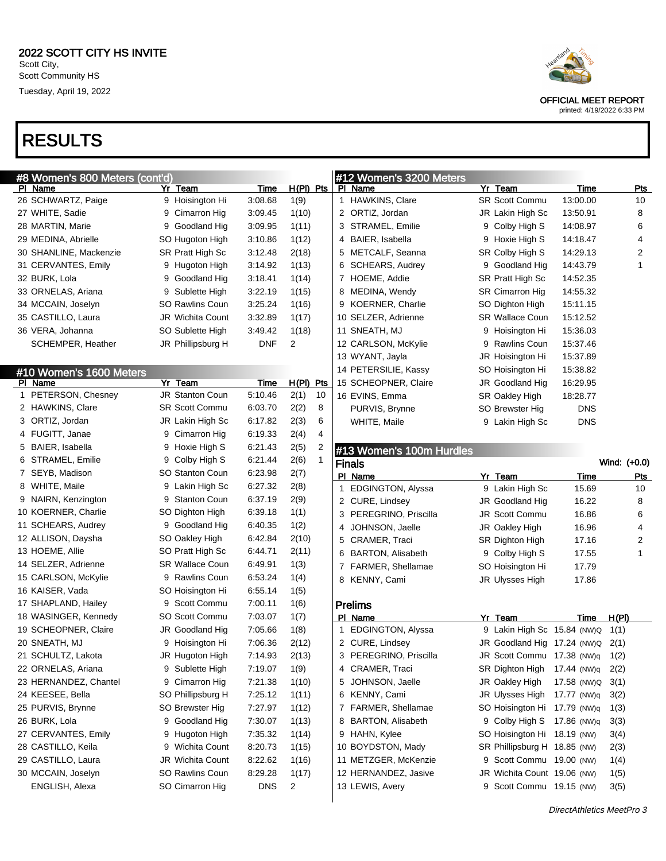## RESULTS

| #8 Women's 800 Meters (cont'd)<br>PI Name | Yr Team                | <b>Time</b> | $H(PI)$ Pts             | #12 Women's 3200 Meters<br>Name<br>PL. | Yr Team                          | Time        | <b>Pts</b>   |
|-------------------------------------------|------------------------|-------------|-------------------------|----------------------------------------|----------------------------------|-------------|--------------|
| 26 SCHWARTZ, Paige                        | 9 Hoisington Hi        | 3:08.68     | 1(9)                    | <b>HAWKINS, Clare</b><br>$\mathbf{1}$  | <b>SR Scott Commu</b>            | 13:00.00    | 10           |
| 27 WHITE, Sadie                           | 9 Cimarron Hig         | 3:09.45     | 1(10)                   | 2 ORTIZ, Jordan                        | JR Lakin High Sc                 | 13:50.91    | 8            |
| 28 MARTIN, Marie                          | 9 Goodland Hig         | 3:09.95     | 1(11)                   | 3<br>STRAMEL, Emilie                   | 9 Colby High S                   | 14:08.97    | 6            |
| 29 MEDINA, Abrielle                       | SO Hugoton High        | 3:10.86     | 1(12)                   | BAIER, Isabella<br>4                   | 9 Hoxie High S                   | 14:18.47    | 4            |
| 30 SHANLINE, Mackenzie                    | SR Pratt High Sc       | 3:12.48     | 2(18)                   | METCALF, Seanna<br>5                   | SR Colby High S                  | 14:29.13    | 2            |
|                                           |                        |             |                         | <b>SCHEARS, Audrey</b>                 |                                  |             | 1            |
| 31 CERVANTES, Emily                       | 9 Hugoton High         | 3:14.92     | 1(13)                   | 6                                      | 9 Goodland Hig                   | 14:43.79    |              |
| 32 BURK, Lola                             | 9 Goodland Hig         | 3:18.41     | 1(14)                   | HOEME, Addie<br>7                      | SR Pratt High Sc                 | 14:52.35    |              |
| 33 ORNELAS, Ariana                        | 9 Sublette High        | 3:22.19     | 1(15)                   | MEDINA, Wendy<br>8                     | SR Cimarron Hig                  | 14:55.32    |              |
| 34 MCCAIN, Joselyn                        | <b>SO Rawlins Coun</b> | 3:25.24     | 1(16)                   | <b>KOERNER, Charlie</b><br>9           | SO Dighton High                  | 15:11.15    |              |
| 35 CASTILLO, Laura                        | JR Wichita Count       | 3:32.89     | 1(17)                   | 10 SELZER, Adrienne                    | <b>SR Wallace Coun</b>           | 15:12.52    |              |
| 36 VERA, Johanna                          | SO Sublette High       | 3:49.42     | 1(18)                   | 11 SNEATH, MJ                          | 9 Hoisington Hi                  | 15:36.03    |              |
| SCHEMPER, Heather                         | JR Phillipsburg H      | <b>DNF</b>  | 2                       | 12 CARLSON, McKylie                    | 9 Rawlins Coun                   | 15:37.46    |              |
|                                           |                        |             |                         | 13 WYANT, Jayla                        | JR Hoisington Hi                 | 15:37.89    |              |
| #10 Women's 1600 Meters                   |                        |             |                         | 14 PETERSILIE, Kassy                   | SO Hoisington Hi                 | 15:38.82    |              |
| PI Name                                   | Yr Team                | <b>Time</b> | H(PI) Pts               | 15 SCHEOPNER, Claire                   | JR Goodland Hig                  | 16:29.95    |              |
| 1 PETERSON, Chesney                       | JR Stanton Coun        | 5:10.46     | 2(1)<br>10              | 16 EVINS, Emma                         | SR Oakley High                   | 18:28.77    |              |
| 2 HAWKINS, Clare                          | <b>SR Scott Commu</b>  | 6:03.70     | 2(2)<br>8               | PURVIS, Brynne                         | SO Brewster Hig                  | <b>DNS</b>  |              |
| 3 ORTIZ, Jordan                           | JR Lakin High Sc       | 6:17.82     | 2(3)<br>6               | WHITE, Maile                           | 9 Lakin High Sc                  | <b>DNS</b>  |              |
| 4 FUGITT, Janae                           | 9 Cimarron Hig         | 6:19.33     | 2(4)<br>4               |                                        |                                  |             |              |
| 5 BAIER, Isabella                         | 9 Hoxie High S         | 6:21.43     | 2(5)<br>2               | #13 Women's 100m Hurdles               |                                  |             |              |
| STRAMEL, Emilie<br>6                      | 9 Colby High S         | 6:21.44     | 2(6)                    | <b>Finals</b>                          |                                  |             | Wind: (+0.0) |
| 7 SEYB, Madison                           | <b>SO Stanton Coun</b> | 6:23.98     | 2(7)                    | PI Name                                | Yr Team                          | Time        | <u>Pts</u>   |
| 8 WHITE, Maile                            | 9 Lakin High Sc        | 6:27.32     | 2(8)                    | EDGINGTON, Alyssa<br>1                 | 9 Lakin High Sc                  | 15.69       | 10           |
| NAIRN, Kenzington<br>9                    | 9 Stanton Coun         | 6:37.19     | 2(9)                    | 2 CURE, Lindsey                        | JR Goodland Hig                  | 16.22       | 8            |
| 10 KOERNER, Charlie                       | SO Dighton High        | 6:39.18     | 1(1)                    | 3<br>PEREGRINO, Priscilla              | JR Scott Commu                   | 16.86       | 6            |
| 11 SCHEARS, Audrey                        | 9 Goodland Hig         | 6:40.35     | 1(2)                    | JOHNSON, Jaelle<br>4                   | JR Oakley High                   | 16.96       | 4            |
| 12 ALLISON, Daysha                        | SO Oakley High         | 6:42.84     | 2(10)                   | CRAMER, Traci<br>5                     | SR Dighton High                  | 17.16       | 2            |
| 13 HOEME, Allie                           | SO Pratt High Sc       | 6:44.71     | 2(11)                   | <b>BARTON, Alisabeth</b><br>6          | 9 Colby High S                   | 17.55       | 1            |
| 14 SELZER, Adrienne                       | <b>SR Wallace Coun</b> | 6:49.91     | 1(3)                    | FARMER, Shellamae<br>7                 | SO Hoisington Hi                 | 17.79       |              |
| 15 CARLSON, McKylie                       | 9 Rawlins Coun         | 6:53.24     | 1(4)                    | KENNY, Cami<br>8                       | JR Ulysses High                  | 17.86       |              |
| 16 KAISER, Vada                           | SO Hoisington Hi       | 6:55.14     | 1(5)                    |                                        |                                  |             |              |
| 17 SHAPLAND, Hailey                       | 9 Scott Commu          | 7:00.11     | 1(6)                    | <b>Prelims</b>                         |                                  |             |              |
| 18 WASINGER, Kennedy                      | SO Scott Commu         | 7:03.07     | 1(7)                    | PI_Name                                | Yr Team                          | Time        | H(PI)        |
| 19 SCHEOPNER, Claire                      | <b>JR Goodland Hig</b> | 7:05.66     | 1(8)                    | EDGINGTON, Alyssa<br>1                 | 9 Lakin High Sc 15.84 (NW)Q      |             | 1(1)         |
| 20 SNEATH, MJ                             | 9 Hoisington Hi        | 7:06.36     | 2(12)                   | 2 CURE, Lindsey                        | JR Goodland Hig 17.24 (NW)Q 2(1) |             |              |
| 21 SCHULTZ, Lakota                        | JR Hugoton High        | 7:14.93     | 2(13)                   | PEREGRINO, Priscilla<br>3              | JR Scott Commu 17.38 (NW)q 1(2)  |             |              |
| 22 ORNELAS, Ariana                        | 9 Sublette High        | 7:19.07     | 1(9)                    | 4 CRAMER, Traci                        | SR Dighton High 17.44 (NW)q      |             | 2(2)         |
| 23 HERNANDEZ, Chantel                     | 9 Cimarron Hig         | 7:21.38     | 1(10)                   | JOHNSON, Jaelle<br>5                   | JR Oakley High                   | 17.58 (NW)Q | 3(1)         |
| 24 KEESEE, Bella                          | SO Phillipsburg H      | 7:25.12     | 1(11)                   | KENNY, Cami<br>6                       | JR Ulysses High                  | 17.77 (NW)q | 3(2)         |
| 25 PURVIS, Brynne                         | SO Brewster Hig        | 7:27.97     | 1(12)                   | FARMER, Shellamae<br>7                 | SO Hoisington Hi 17.79 (NW)q     |             | 1(3)         |
| 26 BURK, Lola                             | 9 Goodland Hig         | 7:30.07     | 1(13)                   | <b>BARTON, Alisabeth</b><br>8          | 9 Colby High S 17.86 (NW)q       |             | 3(3)         |
| 27 CERVANTES, Emily                       | 9 Hugoton High         | 7:35.32     | 1(14)                   | HAHN, Kylee<br>9                       | SO Hoisington Hi 18.19 (NW)      |             | 3(4)         |
| 28 CASTILLO, Keila                        | 9 Wichita Count        | 8:20.73     | 1(15)                   | 10 BOYDSTON, Mady                      | SR Phillipsburg H 18.85 (NW)     |             | 2(3)         |
| 29 CASTILLO, Laura                        | JR Wichita Count       | 8:22.62     | 1(16)                   | 11 METZGER, McKenzie                   | 9 Scott Commu 19.00 (NW)         |             | 1(4)         |
| 30 MCCAIN, Joselyn                        | SO Rawlins Coun        | 8:29.28     |                         | 12 HERNANDEZ, Jasive                   | JR Wichita Count 19.06 (NW)      |             |              |
| ENGLISH, Alexa                            | SO Cimarron Hig        | <b>DNS</b>  | 1(17)<br>$\overline{2}$ | 13 LEWIS, Avery                        | 9 Scott Commu 19.15 (NW)         |             | 1(5)<br>3(5) |
|                                           |                        |             |                         |                                        |                                  |             |              |



OFFICIAL MEET REPORT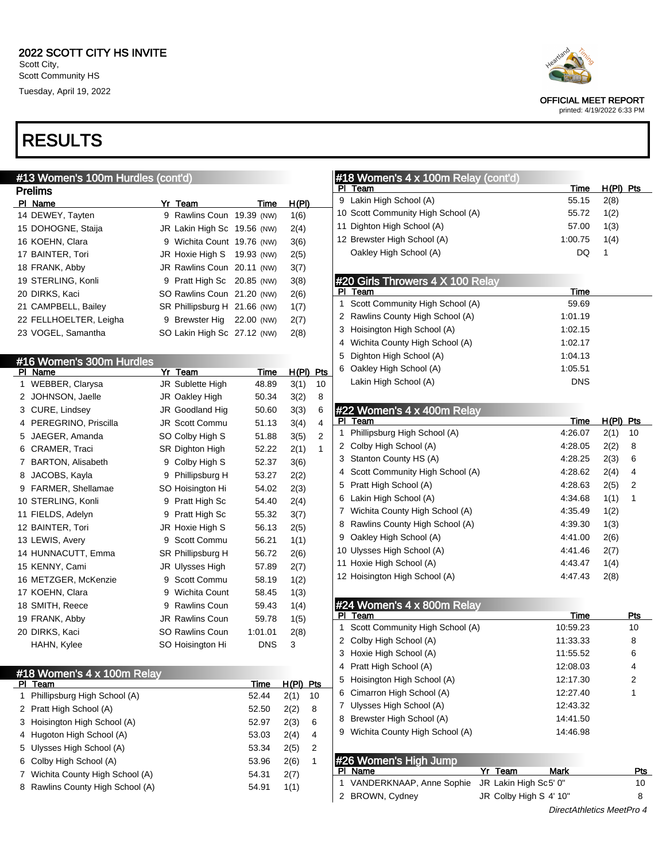### #13 Women's 100m Hurdles (cont'd) Prelims PI Name **Yr Team Yr Team** Time H(PI) 14 DEWEY, Tayten 9 Rawlins Coun 19.39 (NW) 1(6) 15 DOHOGNE, Staija JR Lakin High Sc 19.56 (NW) 2(4) 16 KOEHN, Clara 9 Wichita Count 19.76 (NW) 3(6) 17 BAINTER, Tori JR Hoxie High S 19.93 (NW) 2(5) 18 FRANK, Abby JR Rawlins Coun 20.11 (NW) 3(7) 19 STERLING, Konli 9 Pratt High Sc 20.85 (NW) 3(8) 20 DIRKS, Kaci SO Rawlins Coun 21.20 (NW) 2(6) 21 CAMPBELL, Bailey SR Phillipsburg H 21.66 (NW) 1(7) 22 FELLHOELTER, Leigha 9 Brewster Hig 22.00 (NW) 2(7) 23 VOGEL, Samantha SO Lakin High Sc 27.12 (NW) 2(8) #16 Women's 300m Hurdles PI Name Yr Team Time H(PI) Pts 1 WEBBER, Clarysa JR Sublette High 48.89 3(1) 10 2 JOHNSON, Jaelle JR Oakley High 50.34 3(2) 8 3 CURE, Lindsey JR Goodland Hig 50.60 3(3) 6 4 PEREGRINO, Priscilla JR Scott Commu 51.13 3(4) 4 5 JAEGER, Amanda SO Colby High S 51.88 3(5) 2 6 CRAMER, Traci SR Dighton High 52.22 2(1) 1 7 BARTON, Alisabeth 9 Colby High S 52.37 3(6) 8 JACOBS, Kayla 9 Phillipsburg H 53.27 2(2) 9 FARMER, Shellamae SO Hoisington Hi 54.02 2(3) 10 STERLING, Konli 9 Pratt High Sc 54.40 2(4) 11 FIELDS, Adelyn 9 Pratt High Sc 55.32 3(7) 12 BAINTER, Tori **JR Hoxie High S** 56.13 2(5) 13 LEWIS, Avery 9 Scott Commu 56.21 1(1) 14 HUNNACUTT, Emma SR Phillipsburg H 56.72 2(6) 15 KENNY, Cami JR Ulysses High 57.89 2(7) 16 METZGER, McKenzie 9 Scott Commu 58.19 1(2) 17 KOEHN, Clara **9** Wichita Count 58.45 1(3) 18 SMITH, Reece 9 Rawlins Coun 59.43 1(4) 19 FRANK, Abby JR Rawlins Coun 59.78 1(5) 20 DIRKS, Kaci SO Rawlins Coun 1:01.01 2(8) HAHN, Kylee SO Hoisington Hi DNS 3 #18 Women's 4 x 100m Relay

| PI Team                          | Time  | H(PI) | <b>Pts</b> |
|----------------------------------|-------|-------|------------|
| 1 Phillipsburg High School (A)   | 52.44 | 2(1)  | 10         |
| 2 Pratt High School (A)          | 52.50 | 2(2)  | 8          |
| 3 Hoisington High School (A)     | 52.97 | 2(3)  | 6          |
| 4 Hugoton High School (A)        | 53.03 | 2(4)  | 4          |
| 5 Ulysses High School (A)        | 53.34 | 2(5)  | 2          |
| 6 Colby High School (A)          | 53.96 | 2(6)  | 1          |
| 7 Wichita County High School (A) | 54.31 | 2(7)  |            |
| 8 Rawlins County High School (A) | 54.91 | 1(1)  |            |



OFFICIAL MEET REPORT

printed: 4/19/2022 6:33 PM

|    | #18 Women's 4 x 100m Relay (cont'd) |             |                  |     |
|----|-------------------------------------|-------------|------------------|-----|
|    | PI Team                             | <u>Time</u> | <u>H(PI) Pts</u> |     |
|    | 9 Lakin High School (A)             | 55.15       | 2(8)             |     |
|    | 10 Scott Community High School (A)  | 55.72       | 1(2)             |     |
|    | 11 Dighton High School (A)          | 57.00       | 1(3)             |     |
|    | 12 Brewster High School (A)         | 1:00.75     | 1(4)             |     |
|    | Oakley High School (A)              | DQ          | 1                |     |
|    | #20 Girls Throwers 4 X 100 Relay    |             |                  |     |
| PI | Team                                | Time        |                  |     |
| 1  | Scott Community High School (A)     | 59.69       |                  |     |
| 2  | Rawlins County High School (A)      | 1:01.19     |                  |     |
| 3  | Hoisington High School (A)          | 1:02.15     |                  |     |
|    | 4 Wichita County High School (A)    | 1:02.17     |                  |     |
| 5  | Dighton High School (A)             | 1:04.13     |                  |     |
| 6  | Oakley High School (A)              | 1:05.51     |                  |     |
|    | Lakin High School (A)               | <b>DNS</b>  |                  |     |
|    |                                     |             |                  |     |
|    | #22 Women's 4 x 400m Relay          |             |                  |     |
| PI | Team                                | Time        | <u>H(PI)</u>     | Pts |
| 1  | Phillipsburg High School (A)        | 4:26.07     | 2(1)             | 10  |
| 2  | Colby High School (A)               | 4:28.05     | 2(2)             | 8   |
| 3  | Stanton County HS (A)               | 4:28.25     | 2(3)             | 6   |
| 4  | Scott Community High School (A)     | 4:28.62     | 2(4)             | 4   |
| 5  | Pratt High School (A)               | 4:28.63     | 2(5)             | 2   |
| 6  | Lakin High School (A)               | 4:34.68     | 1(1)             | 1   |
|    | 7 Wichita County High School (A)    | 4:35.49     | 1(2)             |     |
| 8  | Rawlins County High School (A)      | 4:39.30     | 1(3)             |     |
| 9  | Oakley High School (A)              | 4:41.00     | 2(6)             |     |
|    | 10 Ulysses High School (A)          | 4:41.46     | 2(7)             |     |
|    | 11 Hoxie High School (A)            | 4:43.47     | 1(4)             |     |
|    | 12 Hoisington High School (A)       | 4:47.43     | 2(8)             |     |
|    | #24 Women's 4 x 800m Relay          |             |                  |     |
|    | PI Team                             | <u>Time</u> |                  | Pts |
| 1  | Scott Community High School (A)     | 10:59.23    |                  | 10  |
| 2  | Colby High School (A)               | 11:33.33    |                  | 8   |
| 3  | Hoxie High School (A)               | 11:55.52    |                  | 6   |
|    | 4 Pratt High School (A)             | 12:08.03    |                  | 4   |
|    | 5 Hoisington High School (A)        | 12:17.30    |                  | 2   |
| 6  | Cimarron High School (A)            | 12:27.40    |                  | 1   |

|   | $\cup$ <b>1101311191011 1111911</b> 0011001 (A) |                        | 14. I I .JU | ∠   |  |
|---|-------------------------------------------------|------------------------|-------------|-----|--|
|   | 6 Cimarron High School (A)                      |                        | 12:27.40    | 1   |  |
| 7 | Ulysses High School (A)                         |                        | 12:43.32    |     |  |
|   | 8 Brewster High School (A)                      |                        | 14:41.50    |     |  |
|   | 9 Wichita County High School (A)                |                        | 14:46.98    |     |  |
|   |                                                 |                        |             |     |  |
|   | #26 Women's High Jump                           |                        |             |     |  |
|   | PI Name                                         | Yr Team                | <b>Mark</b> | Pts |  |
|   | 1 VANDERKNAAP, Anne Sophie                      | JR Lakin High Sc5' 0"  |             | 10  |  |
|   | 2 BROWN, Cydney                                 | JR Colby High S 4' 10" |             | 8   |  |
|   |                                                 |                        |             |     |  |

DirectAthletics MeetPro 4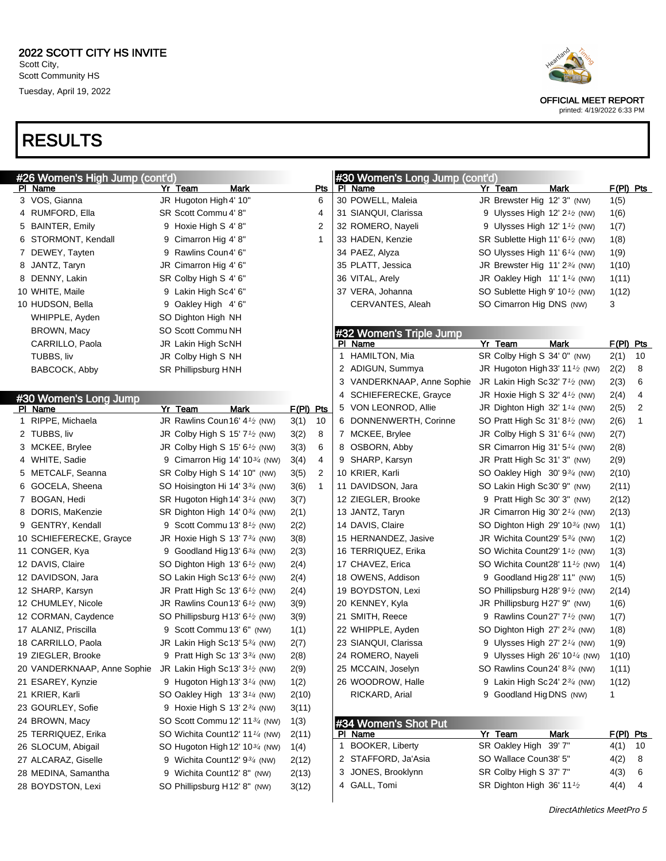## RESULTS

| Heartland |
|-----------|
|           |
|           |

OFFICIAL MEET REPORT printed: 4/19/2022 6:33 PM

| #26 Women's High Jump (cont'd) |                                                         |      |             |              | #30 Women's Long Jump (cont'd) |                                                         |             |             |                |
|--------------------------------|---------------------------------------------------------|------|-------------|--------------|--------------------------------|---------------------------------------------------------|-------------|-------------|----------------|
| PI Name                        | Yr Team                                                 | Mark |             | Pts          | PI Name                        | Yr Team                                                 | Mark        | $F(PI)$ Pts |                |
| 3 VOS, Gianna                  | JR Hugoton High 4' 10"                                  |      |             | 6            | 30 POWELL, Maleia              | JR Brewster Hig 12' 3" (NW)                             |             | 1(5)        |                |
| 4 RUMFORD, Ella                | SR Scott Commu 4' 8"                                    |      |             | 4            | 31 SIANQUI, Clarissa           | 9 Ulysses High 12' $2\frac{1}{2}$ (NW)                  |             | 1(6)        |                |
| 5 BAINTER, Emily               | 9 Hoxie High S 4' 8"                                    |      |             | 2            | 32 ROMERO, Nayeli              | 9 Ulysses High $12' 1'$ (NW)                            |             | 1(7)        |                |
| 6 STORMONT, Kendall            | 9 Cimarron Hig 4' 8"                                    |      |             | 1            | 33 HADEN, Kenzie               | SR Sublette High 11' 6 <sup>1</sup> / <sub>2</sub> (NW) |             | 1(8)        |                |
| 7 DEWEY, Tayten                | 9 Rawlins Coun4' 6"                                     |      |             |              | 34 PAEZ, Alyza                 | SO Ulysses High 11' $6\frac{1}{4}$ (NW)                 |             | 1(9)        |                |
| 8 JANTZ, Taryn                 | JR Cimarron Hig 4' 6"                                   |      |             |              | 35 PLATT, Jessica              | JR Brewster Hig $11'2^{3/4}$ (NW)                       |             | 1(10)       |                |
| 8 DENNY, Lakin                 | SR Colby High S 4' 6"                                   |      |             |              | 36 VITAL, Arely                | JR Oakley High $11'1'4$ (NW)                            |             | 1(11)       |                |
| 10 WHITE, Maile                | 9 Lakin High Sc4' 6"                                    |      |             |              | 37 VERA, Johanna               | SO Sublette High 9' 10 <sup>1</sup> / <sub>2</sub> (NW) |             | 1(12)       |                |
| 10 HUDSON, Bella               | 9 Oakley High 4'6"                                      |      |             |              | CERVANTES, Aleah               | SO Cimarron Hig DNS (NW)                                |             | 3           |                |
| WHIPPLE, Ayden                 | SO Dighton High NH                                      |      |             |              |                                |                                                         |             |             |                |
| BROWN, Macy                    | SO Scott Commu NH                                       |      |             |              | #32 Women's Triple Jump        |                                                         |             |             |                |
| CARRILLO, Paola                | JR Lakin High ScNH                                      |      |             |              | PI Name                        | Yr Team                                                 | <b>Mark</b> | F(PI) Pts   |                |
| TUBBS, liv                     | JR Colby High S NH                                      |      |             |              | 1 HAMILTON, Mia                | SR Colby High S 34' 0" (NW)                             |             | 2(1)        | 10             |
| BABCOCK, Abby                  | SR Phillipsburg HNH                                     |      |             |              | 2 ADIGUN, Summya               | JR Hugoton High 33' 11 $\frac{1}{2}$ (NW)               |             | 2(2)        | 8              |
|                                |                                                         |      |             |              | 3 VANDERKNAAP, Anne Sophie     | JR Lakin High Sc32' 7 <sup>1</sup> / <sub>2</sub> (NW)  |             | 2(3)        | 6              |
| #30 Women's Long Jump          |                                                         |      |             |              | 4 SCHIEFERECKE, Grayce         | JR Hoxie High S 32' $4\frac{1}{2}$ (NW)                 |             | 2(4)        | 4              |
| PI Name                        | Yr Team                                                 | Mark | $F(PI)$ Pts |              | 5 VON LEONROD, Allie           | JR Dighton High 32' 1 $\frac{1}{4}$ (NW)                |             | 2(5)        | $\overline{2}$ |
| 1 RIPPE, Michaela              | JR Rawlins Coun16' 41/2 (NW)                            |      | 3(1)        | 10           | 6 DONNENWERTH, Corinne         | SO Pratt High Sc 31' 8 <sup>1</sup> / <sub>2</sub> (NW) |             | 2(6)        | $\mathbf{1}$   |
| 2 TUBBS, liv                   | JR Colby High S 15' 7 <sup>1</sup> / <sub>2</sub> (NW)  |      | 3(2)        | 8            | 7 MCKEE, Brylee                | JR Colby High S 31' $6\frac{1}{4}$ (NW)                 |             | 2(7)        |                |
| 3 MCKEE, Brylee                | JR Colby High S 15' 6 <sup>1</sup> / <sub>2</sub> (NW)  |      | 3(3)        | 6            | 8 OSBORN, Abby                 | SR Cimarron Hig 31' 5 <sup>1/4</sup> (NW)               |             | 2(8)        |                |
| 4 WHITE, Sadie                 | 9 Cimarron Hig 14' 10 <sup>3/4</sup> (NW)               |      | 3(4)        | 4            | 9 SHARP, Karsyn                | JR Pratt High Sc 31' 3" (NW)                            |             | 2(9)        |                |
| 5 METCALF, Seanna              | SR Colby High S 14' 10" (NW)                            |      | 3(5)        | 2            | 10 KRIER, Karli                | SO Oakley High 30' 934 (NW)                             |             | 2(10)       |                |
| 6 GOCELA, Sheena               | SO Hoisington Hi 14' 334 (NW)                           |      | 3(6)        | $\mathbf{1}$ | 11 DAVIDSON, Jara              | SO Lakin High Sc30' 9" (NW)                             |             | 2(11)       |                |
| 7 BOGAN, Hedi                  | SR Hugoton High 14' 3 <sup>1/4</sup> (NW)               |      | 3(7)        |              | 12 ZIEGLER, Brooke             | 9 Pratt High Sc 30' 3" (NW)                             |             | 2(12)       |                |
| 8 DORIS, MaKenzie              | SR Dighton High 14' $0\frac{3}{4}$ (NW)                 |      | 2(1)        |              | 13 JANTZ, Taryn                | JR Cimarron Hig 30' $2\frac{1}{4}$ (NW)                 |             | 2(13)       |                |
| 9 GENTRY, Kendall              | 9 Scott Commu 13' 8 $\frac{1}{2}$ (NW)                  |      | 2(2)        |              | 14 DAVIS, Claire               | SO Dighton High 29' 10 <sup>3/4</sup> (NW)              |             | 1(1)        |                |
| 10 SCHIEFERECKE, Grayce        | JR Hoxie High S 13' 7 <sup>3/4</sup> (NW)               |      | 3(8)        |              | 15 HERNANDEZ, Jasive           | JR Wichita Count29' 5 <sup>3/4</sup> (NW)               |             | 1(2)        |                |
| 11 CONGER, Kya                 | 9 Goodland Hig 13' $6\frac{3}{4}$ (NW)                  |      | 2(3)        |              | 16 TERRIQUEZ, Erika            | SO Wichita Count29' 1 <sup>1</sup> / <sub>2</sub> (NW)  |             | 1(3)        |                |
| 12 DAVIS, Claire               | SO Dighton High 13' 6 <sup>1</sup> / <sub>2</sub> (NW)  |      | 2(4)        |              | 17 CHAVEZ, Erica               | SO Wichita Count28' 11 <sup>1</sup> / <sub>2</sub> (NW) |             | 1(4)        |                |
| 12 DAVIDSON, Jara              | SO Lakin High Sc13' 6 <sup>1</sup> /2 (NW)              |      | 2(4)        |              | 18 OWENS, Addison              | 9 Goodland Hig 28' 11" (NW)                             |             | 1(5)        |                |
| 12 SHARP, Karsyn               | JR Pratt High Sc 13' $6\frac{1}{2}$ (NW)                |      | 2(4)        |              | 19 BOYDSTON, Lexi              | SO Phillipsburg H28' $9\frac{1}{2}$ (NW)                |             | 2(14)       |                |
| 12 CHUMLEY, Nicole             | JR Rawlins Coun13' 61/2 (NW)                            |      | 3(9)        |              | 20 KENNEY, Kyla                | JR Phillipsburg H27' 9" (NW)                            |             | 1(6)        |                |
| 12 CORMAN, Caydence            | SO Phillipsburg H13' 6 <sup>1</sup> / <sub>2</sub> (NW) |      | 3(9)        |              | 21 SMITH, Reece                | 9 Rawlins Coun27' 7 <sup>1</sup> / <sub>2</sub> (NW)    |             | 1(7)        |                |
| 17 ALANIZ, Priscilla           | 9 Scott Commu 13' 6" (NW)                               |      | 1(1)        |              | 22 WHIPPLE, Ayden              | SO Dighton High 27' 2 <sup>3/4</sup> (NW)               |             | 1(8)        |                |
| 18 CARRILLO, Paola             | JR Lakin High Sc13' 534 (NW)                            |      | 2(7)        |              | 23 SIANQUI, Clarissa           | 9 Ulysses High $27'$ $2\frac{1}{4}$ (NW)                |             | 1(9)        |                |
| 19 ZIEGLER, Brooke             | 9 Pratt High Sc 13' 33/4 (NW)                           |      | 2(8)        |              | 24 ROMERO, Nayeli              | 9 Ulysses High 26' 10 $\frac{1}{4}$ (NW)                |             | 1(10)       |                |
| 20 VANDERKNAAP, Anne Sophie    | JR Lakin High Sc13' 3 <sup>1</sup> / <sub>2</sub> (NW)  |      | 2(9)        |              | 25 MCCAIN, Joselyn             | SO Rawlins Coun24' 8 <sup>3/4</sup> (NW)                |             | 1(11)       |                |
| 21 ESAREY, Kynzie              | 9 Hugoton High 13' $3\frac{1}{4}$ (NW)                  |      | 1(2)        |              | 26 WOODROW, Halle              | 9 Lakin High Sc24' $2\frac{3}{4}$ (NW)                  |             | 1(12)       |                |
| 21 KRIER, Karli                | SO Oakley High 13' 3 <sup>1/4</sup> (NW)                |      | 2(10)       |              | RICKARD, Arial                 | 9 Goodland Hig DNS (NW)                                 |             | 1           |                |
| 23 GOURLEY, Sofie              | 9 Hoxie High S 13' 2 <sup>3/4</sup> (NW)                |      |             |              |                                |                                                         |             |             |                |
| 24 BROWN, Macy                 | SO Scott Commu 12' 11 <sup>3/4</sup> (NW)               |      | 3(11)       |              |                                |                                                         |             |             |                |
|                                |                                                         |      | 1(3)        |              | #34 Women's Shot Put           |                                                         |             |             |                |
| 25 TERRIQUEZ, Erika            | SO Wichita Count12' 11 <sup>1/4</sup> (NW)              |      | 2(11)       |              | PI Name                        | Yr Team                                                 | Mark        | $F(PI)$ Pts |                |
| 26 SLOCUM, Abigail             | SO Hugoton High 12' 10 <sup>3/4</sup> (NW)              |      | 1(4)        |              | 1 BOOKER, Liberty              | SR Oakley High 39' 7"                                   |             | 4(1)        | -10            |
| 27 ALCARAZ, Giselle            | 9 Wichita Count12' 93/4 (NW)                            |      | 2(12)       |              | 2 STAFFORD, Ja'Asia            | SO Wallace Coun38' 5"                                   |             | 4(2)        | 8              |
| 28 MEDINA, Samantha            | 9 Wichita Count12' 8" (NW)                              |      | 2(13)       |              | 3 JONES, Brooklynn             | SR Colby High S 37' 7"                                  |             | 4(3)        | 6              |
| 28 BOYDSTON, Lexi              | SO Phillipsburg H12' 8" (NW)                            |      | 3(12)       |              | 4 GALL, Tomi                   | SR Dighton High 36' 111/2                               |             | 4(4)        | 4              |
|                                |                                                         |      |             |              |                                |                                                         |             |             |                |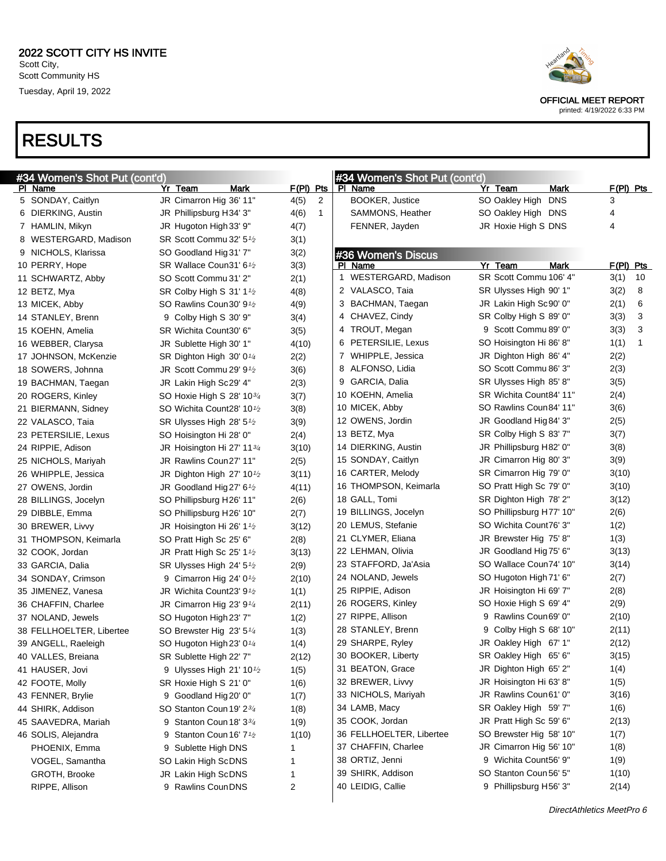## RESULTS



OFFICIAL MEET REPORT

|                          | #34 Women's Shot Put (cont'd) |                                                    |      |             |   | #34 Women's Shot Put (cont'd) |   |                          |            |             |    |
|--------------------------|-------------------------------|----------------------------------------------------|------|-------------|---|-------------------------------|---|--------------------------|------------|-------------|----|
| PI Name                  |                               | Yr Team                                            | Mark | $F(PI)$ Pts |   | PI Name                       |   | Yr Team                  | Mark       | $F(PI)$ Pts |    |
| 5 SONDAY, Caitlyn        |                               | JR Cimarron Hig 36' 11"                            |      | 4(5)        | 2 | <b>BOOKER, Justice</b>        |   | SO Oakley High           | <b>DNS</b> | 3           |    |
| 6 DIERKING, Austin       |                               | JR Phillipsburg H34' 3"                            |      | 4(6)        | 1 | SAMMONS, Heather              |   | SO Oakley High DNS       |            | 4           |    |
| 7 HAMLIN, Mikyn          |                               | JR Hugoton High 33' 9"                             |      | 4(7)        |   | FENNER, Jayden                |   | JR Hoxie High S DNS      |            | 4           |    |
| 8 WESTERGARD, Madison    |                               | SR Scott Commu 32' 5 <sup>1</sup> /2               |      | 3(1)        |   |                               |   |                          |            |             |    |
| 9 NICHOLS, Klarissa      |                               | SO Goodland Hig 31' 7"                             |      | 3(2)        |   | #36 Women's Discus            |   |                          |            |             |    |
| 10 PERRY, Hope           |                               | SR Wallace Coun31' 6 <sup>1</sup> /2               |      | 3(3)        |   | PI Name                       |   | Yr_Team                  | Mark       | F(PI) Pts   |    |
| 11 SCHWARTZ, Abby        |                               | SO Scott Commu 31' 2"                              |      | 2(1)        |   | 1 WESTERGARD, Madison         |   | SR Scott Commu 106' 4"   |            | 3(1)        | 10 |
| 12 BETZ, Mya             |                               | SR Colby High S 31' 11/2                           |      | 4(8)        |   | 2 VALASCO, Taia               |   | SR Ulysses High 90' 1"   |            | 3(2)        | 8  |
| 13 MICEK, Abby           |                               | SO Rawlins Coun30' 91/2                            |      | 4(9)        |   | 3 BACHMAN, Taegan             |   | JR Lakin High Sc90' 0"   |            | 2(1)        | 6  |
| 14 STANLEY, Brenn        |                               | 9 Colby High S 30' 9"                              |      | 3(4)        |   | 4 CHAVEZ, Cindy               |   | SR Colby High S 89' 0"   |            | 3(3)        | 3  |
| 15 KOEHN, Amelia         |                               | SR Wichita Count30' 6"                             |      | 3(5)        |   | 4 TROUT, Megan                |   | 9 Scott Commu 89' 0"     |            | 3(3)        | 3  |
| 16 WEBBER, Clarysa       |                               | JR Sublette High 30' 1"                            |      | 4(10)       |   | 6 PETERSILIE, Lexus           |   | SO Hoisington Hi 86' 8"  |            | 1(1)        | 1  |
| 17 JOHNSON, McKenzie     |                               | SR Dighton High 30' 0 $\frac{1}{4}$                |      | 2(2)        |   | 7 WHIPPLE, Jessica            |   | JR Dighton High 86' 4"   |            | 2(2)        |    |
| 18 SOWERS, Johnna        |                               | JR Scott Commu 29' 9 <sup>1</sup> /2               |      | 3(6)        |   | 8 ALFONSO, Lidia              |   | SO Scott Commu 86' 3"    |            | 2(3)        |    |
| 19 BACHMAN, Taegan       |                               | JR Lakin High Sc29' 4"                             |      | 2(3)        |   | 9 GARCIA, Dalia               |   | SR Ulysses High 85' 8"   |            | 3(5)        |    |
| 20 ROGERS, Kinley        |                               | SO Hoxie High S 28' 10 $\frac{3}{4}$               |      | 3(7)        |   | 10 KOEHN, Amelia              |   | SR Wichita Count84' 11"  |            | 2(4)        |    |
| 21 BIERMANN, Sidney      |                               | SO Wichita Count28' 10 <sup>1</sup> /2             |      | 3(8)        |   | 10 MICEK, Abby                |   | SO Rawlins Coun84' 11"   |            | 3(6)        |    |
| 22 VALASCO, Taia         |                               | SR Ulysses High 28' $5\frac{1}{2}$                 |      | 3(9)        |   | 12 OWENS, Jordin              |   | JR Goodland Hig 84' 3"   |            | 2(5)        |    |
| 23 PETERSILIE, Lexus     |                               | SO Hoisington Hi 28' 0"                            |      | 2(4)        |   | 13 BETZ, Mya                  |   | SR Colby High S 83' 7"   |            | 3(7)        |    |
| 24 RIPPIE, Adison        |                               | JR Hoisington Hi 27' 11 $\frac{3}{4}$              |      | 3(10)       |   | 14 DIERKING, Austin           |   | JR Phillipsburg H82' 0"  |            | 3(8)        |    |
| 25 NICHOLS, Mariyah      |                               | JR Rawlins Coun27' 11"                             |      | 2(5)        |   | 15 SONDAY, Caitlyn            |   | JR Cimarron Hig 80' 3"   |            | 3(9)        |    |
| 26 WHIPPLE, Jessica      |                               | JR Dighton High 27' 10 <sup>1</sup> / <sub>2</sub> |      | 3(11)       |   | 16 CARTER, Melody             |   | SR Cimarron Hig 79' 0"   |            | 3(10)       |    |
| 27 OWENS, Jordin         |                               | JR Goodland Hig 27' $6\frac{1}{2}$                 |      | 4(11)       |   | 16 THOMPSON, Keimarla         |   | SO Pratt High Sc 79' 0"  |            | 3(10)       |    |
| 28 BILLINGS, Jocelyn     |                               | SO Phillipsburg H26' 11"                           |      | 2(6)        |   | 18 GALL, Tomi                 |   | SR Dighton High 78' 2"   |            | 3(12)       |    |
| 29 DIBBLE, Emma          |                               | SO Phillipsburg H26' 10"                           |      | 2(7)        |   | 19 BILLINGS, Jocelyn          |   | SO Phillipsburg H77' 10" |            | 2(6)        |    |
| 30 BREWER, Livvy         |                               | JR Hoisington Hi 26' 1 <sup><math>1/2</math></sup> |      | 3(12)       |   | 20 LEMUS, Stefanie            |   | SO Wichita Count76' 3"   |            | 1(2)        |    |
| 31 THOMPSON, Keimarla    |                               | SO Pratt High Sc 25' 6"                            |      | 2(8)        |   | 21 CLYMER, Eliana             |   | JR Brewster Hig 75' 8"   |            | 1(3)        |    |
| 32 COOK, Jordan          |                               | JR Pratt High Sc 25' $1\frac{1}{2}$                |      | 3(13)       |   | 22 LEHMAN, Olivia             |   | JR Goodland Hig 75' 6"   |            | 3(13)       |    |
| 33 GARCIA, Dalia         |                               | SR Ulysses High 24' 5 <sup>1</sup> /2              |      | 2(9)        |   | 23 STAFFORD, Ja'Asia          |   | SO Wallace Coun74' 10"   |            | 3(14)       |    |
| 34 SONDAY, Crimson       |                               | 9 Cimarron Hig 24' $0\frac{1}{2}$                  |      | 2(10)       |   | 24 NOLAND, Jewels             |   | SO Hugoton High 71' 6"   |            | 2(7)        |    |
| 35 JIMENEZ, Vanesa       |                               | JR Wichita Count23' 9 <sup>1</sup> /2              |      | 1(1)        |   | 25 RIPPIE, Adison             |   | JR Hoisington Hi 69' 7"  |            | 2(8)        |    |
| 36 CHAFFIN, Charlee      |                               | JR Cimarron Hig 23' 9 <sup>1/4</sup>               |      | 2(11)       |   | 26 ROGERS, Kinley             |   | SO Hoxie High S 69' 4"   |            | 2(9)        |    |
| 37 NOLAND, Jewels        |                               | SO Hugoton High 23' 7"                             |      | 1(2)        |   | 27 RIPPE, Allison             | 9 | Rawlins Coun69' 0"       |            | 2(10)       |    |
| 38 FELLHOELTER, Libertee |                               | SO Brewster Hig 23' $5\frac{1}{4}$                 |      | 1(3)        |   | 28 STANLEY, Brenn             | 9 | Colby High S 68' 10"     |            | 2(11)       |    |
| 39 ANGELL, Raeleigh      |                               | SO Hugoton High 23' 0 $\frac{1}{4}$                |      | 1(4)        |   | 29 SHARPE, Ryley              |   | JR Oakley High 67' 1"    |            | 2(12)       |    |
| 40 VALLES, Breiana       |                               | SR Sublette High 22' 7"                            |      | 2(12)       |   | 30 BOOKER, Liberty            |   | SR Oakley High 65' 6"    |            | 3(15)       |    |
| 41 HAUSER, Jovi          |                               | 9 Ulysses High 21' 10 $\frac{1}{2}$                |      | 1(5)        |   | 31 BEATON, Grace              |   | JR Dighton High 65' 2"   |            | 1(4)        |    |
| 42 FOOTE, Molly          |                               | SR Hoxie High S 21' 0"                             |      | 1(6)        |   | 32 BREWER, Livvy              |   | JR Hoisington Hi 63' 8"  |            | 1(5)        |    |
| 43 FENNER, Brylie        |                               | 9 Goodland Hig 20' 0"                              |      | 1(7)        |   | 33 NICHOLS, Mariyah           |   | JR Rawlins Coun61' 0"    |            | 3(16)       |    |
| 44 SHIRK, Addison        |                               | SO Stanton Coun 19' 23/4                           |      | 1(8)        |   | 34 LAMB, Macy                 |   | SR Oakley High 59' 7"    |            | 1(6)        |    |
| 45 SAAVEDRA, Mariah      |                               | 9 Stanton Coun 18' 334                             |      | 1(9)        |   | 35 COOK, Jordan               |   | JR Pratt High Sc 59' 6"  |            | 2(13)       |    |
| 46 SOLIS, Alejandra      |                               | 9 Stanton Coun 16' $7\frac{1}{2}$                  |      | 1(10)       |   | 36 FELLHOELTER, Libertee      |   | SO Brewster Hig 58' 10"  |            | 1(7)        |    |
| PHOENIX, Emma            |                               | 9 Sublette High DNS                                |      | 1           |   | 37 CHAFFIN, Charlee           |   | JR Cimarron Hig 56' 10"  |            | 1(8)        |    |
| VOGEL, Samantha          |                               | SO Lakin High ScDNS                                |      | 1           |   | 38 ORTIZ, Jenni               |   | 9 Wichita Count56' 9"    |            | 1(9)        |    |
| GROTH, Brooke            |                               | JR Lakin High ScDNS                                |      | 1           |   | 39 SHIRK, Addison             |   | SO Stanton Coun 56' 5"   |            | 1(10)       |    |
| RIPPE, Allison           |                               | 9 Rawlins CounDNS                                  |      | 2           |   | 40 LEIDIG, Callie             |   | 9 Phillipsburg H56' 3"   |            | 2(14)       |    |
|                          |                               |                                                    |      |             |   |                               |   |                          |            |             |    |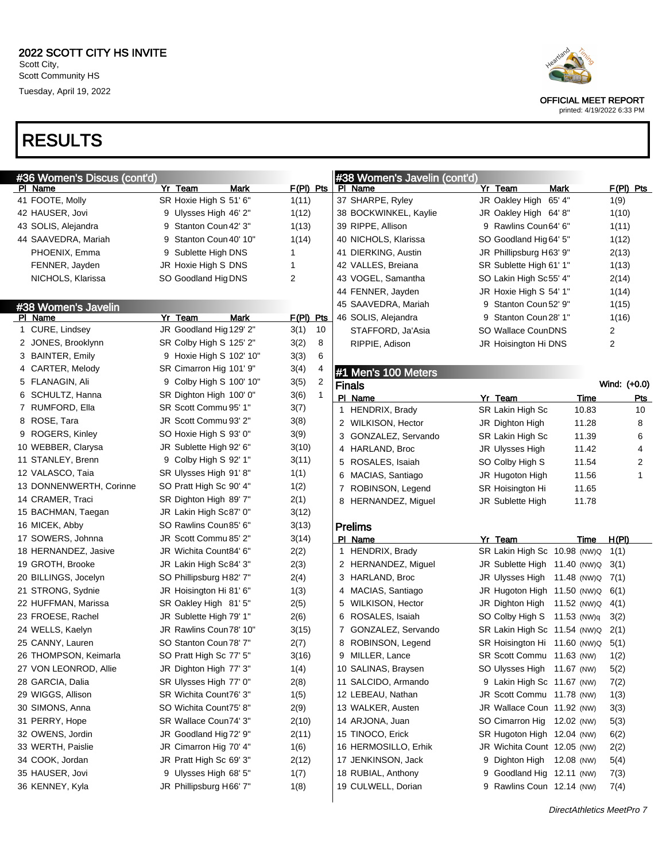## RESULTS

| #36 Women's Discus (cont'd) |   |                         |             |    |   | #38 Women's Javelin (cont'd) |   |                              |       |              |              |
|-----------------------------|---|-------------------------|-------------|----|---|------------------------------|---|------------------------------|-------|--------------|--------------|
| PI Name                     |   | Yr Team<br>Mark         | $F(PI)$ Pts |    |   | PI Name                      |   | Yr Team                      | Mark  |              | $F(PI)$ Pts  |
| 41 FOOTE, Molly             |   | SR Hoxie High S 51' 6"  | 1(11)       |    |   | 37 SHARPE, Ryley             |   | JR Oakley High 65' 4"        |       | 1(9)         |              |
| 42 HAUSER, Jovi             |   | 9 Ulysses High 46' 2"   | 1(12)       |    |   | 38 BOCKWINKEL, Kaylie        |   | JR Oakley High 64' 8"        |       | 1(10)        |              |
| 43 SOLIS, Alejandra         |   | 9 Stanton Coun 42' 3"   | 1(13)       |    |   | 39 RIPPE, Allison            | 9 | Rawlins Coun64' 6"           |       | 1(11)        |              |
| 44 SAAVEDRA, Mariah         | 9 | Stanton Coun 40' 10"    | 1(14)       |    |   | 40 NICHOLS, Klarissa         |   | SO Goodland Hig 64' 5"       |       | 1(12)        |              |
| PHOENIX, Emma               | 9 | Sublette High DNS       | 1           |    |   | 41 DIERKING, Austin          |   | JR Phillipsburg H63' 9"      |       | 2(13)        |              |
| FENNER, Jayden              |   | JR Hoxie High S DNS     | 1           |    |   | 42 VALLES, Breiana           |   | SR Sublette High 61' 1"      |       | 1(13)        |              |
| NICHOLS, Klarissa           |   | SO Goodland Hig DNS     | 2           |    |   | 43 VOGEL, Samantha           |   | SO Lakin High Sc55' 4"       |       | 2(14)        |              |
|                             |   |                         |             |    |   | 44 FENNER, Jayden            |   | JR Hoxie High S 54' 1"       |       | 1(14)        |              |
| #38 Women's Javelin         |   |                         |             |    |   | 45 SAAVEDRA, Mariah          | 9 | Stanton Coun 52' 9"          |       | 1(15)        |              |
| PI Name                     |   | Yr Team<br>Mark         | $F(PI)$ Pts |    |   | 46 SOLIS, Alejandra          | 9 | Stanton Coun 28' 1"          |       | 1(16)        |              |
| 1 CURE, Lindsey             |   | JR Goodland Hig 129' 2" | 3(1)        | 10 |   | STAFFORD, Ja'Asia            |   | SO Wallace CounDNS           |       | 2            |              |
| 2 JONES, Brooklynn          |   | SR Colby High S 125' 2" | 3(2)        | 8  |   | RIPPIE, Adison               |   | JR Hoisington Hi DNS         |       | 2            |              |
| 3 BAINTER, Emily            |   | 9 Hoxie High S 102' 10" | 3(3)        | 6  |   |                              |   |                              |       |              |              |
| 4 CARTER, Melody            |   | SR Cimarron Hig 101' 9" | 3(4)        |    |   | #1 Men's 100 Meters          |   |                              |       |              |              |
| 5 FLANAGIN, Ali             |   | 9 Colby High S 100' 10" | 3(5)        | 2  |   | <b>Finals</b>                |   |                              |       | Wind: (+0.0) |              |
| 6 SCHULTZ, Hanna            |   | SR Dighton High 100' 0" | 3(6)        | 1  |   | PI Name                      |   | Yr Team                      | Time  |              | Pts          |
| 7 RUMFORD, Ella             |   | SR Scott Commu 95' 1"   | 3(7)        |    | 1 | HENDRIX, Brady               |   | SR Lakin High Sc             | 10.83 |              | 10           |
| 8 ROSE, Tara                |   | JR Scott Commu 93' 2"   | 3(8)        |    |   | 2 WILKISON, Hector           |   | JR Dighton High              | 11.28 |              | 8            |
| 9 ROGERS, Kinley            |   | SO Hoxie High S 93' 0"  | 3(9)        |    |   | 3 GONZALEZ, Servando         |   | SR Lakin High Sc             | 11.39 |              | 6            |
| 10 WEBBER, Clarysa          |   | JR Sublette High 92' 6" | 3(10)       |    |   | 4 HARLAND, Broc              |   | JR Ulysses High              | 11.42 |              | 4            |
| 11 STANLEY, Brenn           |   | 9 Colby High S 92' 1"   | 3(11)       |    |   | 5 ROSALES, Isaiah            |   | SO Colby High S              | 11.54 |              | 2            |
| 12 VALASCO, Taia            |   | SR Ulysses High 91'8"   | 1(1)        |    |   | 6 MACIAS, Santiago           |   | JR Hugoton High              | 11.56 |              | $\mathbf{1}$ |
| 13 DONNENWERTH, Corinne     |   | SO Pratt High Sc 90' 4" | 1(2)        |    | 7 | ROBINSON, Legend             |   | SR Hoisington Hi             | 11.65 |              |              |
| 14 CRAMER, Traci            |   | SR Dighton High 89' 7"  | 2(1)        |    |   | 8 HERNANDEZ, Miguel          |   | JR Sublette High             | 11.78 |              |              |
| 15 BACHMAN, Taegan          |   | JR Lakin High Sc87' 0"  | 3(12)       |    |   |                              |   |                              |       |              |              |
| 16 MICEK, Abby              |   | SO Rawlins Coun85' 6"   | 3(13)       |    |   | <b>Prelims</b>               |   |                              |       |              |              |
| 17 SOWERS, Johnna           |   | JR Scott Commu 85' 2"   | 3(14)       |    |   | PI Name                      |   | Yr Team                      | Time  | H(PI)        |              |
| 18 HERNANDEZ, Jasive        |   | JR Wichita Count84' 6"  | 2(2)        |    |   | 1 HENDRIX, Brady             |   | SR Lakin High Sc 10.98 (NW)Q |       | 1(1)         |              |
| 19 GROTH, Brooke            |   | JR Lakin High Sc84' 3"  | 2(3)        |    |   | 2 HERNANDEZ, Miguel          |   | JR Sublette High 11.40 (NW)Q |       | 3(1)         |              |
| 20 BILLINGS, Jocelyn        |   | SO Phillipsburg H82' 7" | 2(4)        |    |   | 3 HARLAND, Broc              |   | JR Ulysses High 11.48 (NW)Q  |       | 7(1)         |              |
| 21 STRONG, Sydnie           |   | JR Hoisington Hi 81' 6" | 1(3)        |    |   | 4 MACIAS, Santiago           |   | JR Hugoton High 11.50 (NW)Q  |       | 6(1)         |              |
| 22 HUFFMAN, Marissa         |   | SR Oakley High 81' 5"   | 2(5)        |    |   | 5 WILKISON, Hector           |   | JR Dighton High 11.52 (NW)Q  |       | 4(1)         |              |
| 23 FROESE, Rachel           |   | JR Sublette High 79' 1" | 2(6)        |    |   | 6 ROSALES, Isaiah            |   | SO Colby High S 11.53 (NW)q  |       | 3(2)         |              |
| 24 WELLS, Kaelyn            |   | JR Rawlins Coun78' 10"  | 3(15)       |    |   | 7 GONZALEZ, Servando         |   | SR Lakin High Sc 11.54 (NW)Q |       | 2(1)         |              |
| 25 CANNY, Lauren            |   | SO Stanton Coun 78' 7"  | 2(7)        |    |   | 8 ROBINSON, Legend           |   | SR Hoisington Hi 11.60 (NW)Q |       | 5(1)         |              |
| 26 THOMPSON, Keimarla       |   | SO Pratt High Sc 77' 5" | 3(16)       |    | 9 | MILLER, Lance                |   | SR Scott Commu 11.63 (NW)    |       | 1(2)         |              |
| 27 VON LEONROD, Allie       |   | JR Dighton High 77' 3"  | 1(4)        |    |   | 10 SALINAS, Braysen          |   | SO Ulysses High 11.67 (NW)   |       | 5(2)         |              |
| 28 GARCIA, Dalia            |   | SR Ulysses High 77' 0"  | 2(8)        |    |   | 11 SALCIDO, Armando          |   | 9 Lakin High Sc 11.67 (NW)   |       | 7(2)         |              |
| 29 WIGGS, Allison           |   | SR Wichita Count76' 3"  | 1(5)        |    |   | 12 LEBEAU, Nathan            |   | JR Scott Commu 11.78 (NW)    |       | 1(3)         |              |
| 30 SIMONS, Anna             |   | SO Wichita Count75' 8"  | 2(9)        |    |   | 13 WALKER, Austen            |   | JR Wallace Coun 11.92 (NW)   |       | 3(3)         |              |
| 31 PERRY, Hope              |   | SR Wallace Coun74' 3"   | 2(10)       |    |   | 14 ARJONA, Juan              |   | SO Cimarron Hig 12.02 (NW)   |       | 5(3)         |              |
| 32 OWENS, Jordin            |   | JR Goodland Hig 72' 9"  | 2(11)       |    |   | 15 TINOCO, Erick             |   | SR Hugoton High 12.04 (NW)   |       | 6(2)         |              |
| 33 WERTH, Paislie           |   | JR Cimarron Hig 70' 4"  | 1(6)        |    |   | 16 HERMOSILLO, Erhik         |   | JR Wichita Count 12.05 (NW)  |       | 2(2)         |              |
| 34 COOK, Jordan             |   | JR Pratt High Sc 69' 3" | 2(12)       |    |   | 17 JENKINSON, Jack           |   | 9 Dighton High 12.08 (NW)    |       | 5(4)         |              |
| 35 HAUSER, Jovi             |   | 9 Ulysses High 68' 5"   | 1(7)        |    |   | 18 RUBIAL, Anthony           |   | 9 Goodland Hig 12.11 (NW)    |       | 7(3)         |              |
| 36 KENNEY, Kyla             |   | JR Phillipsburg H66' 7" | 1(8)        |    |   | 19 CULWELL, Dorian           |   | 9 Rawlins Coun 12.14 (NW)    |       | 7(4)         |              |
|                             |   |                         |             |    |   |                              |   |                              |       |              |              |



OFFICIAL MEET REPORT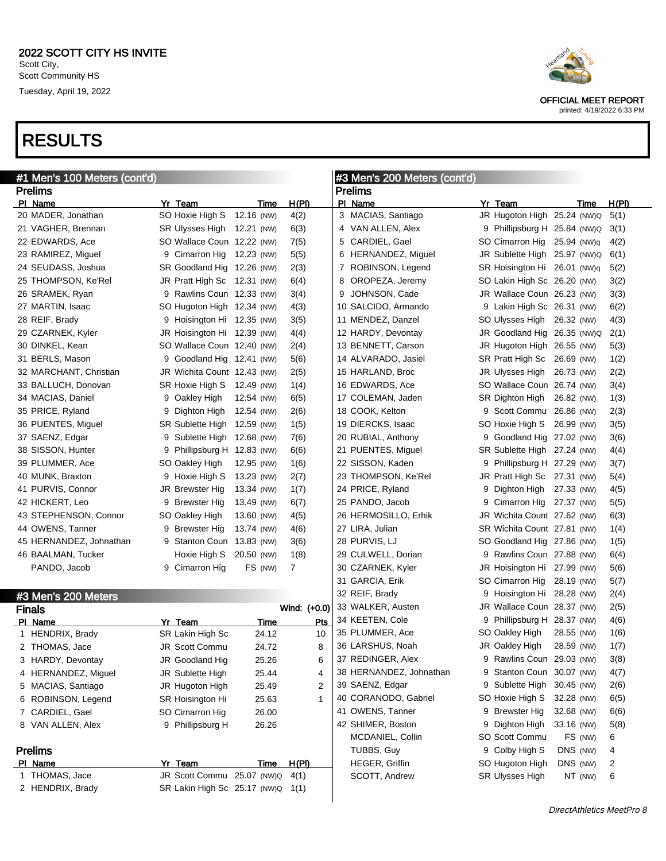| #1 Men's 100 Meters (cont'd) |                             |             |                | #3 Men's 200 Meters (cont'd) |   |                              |            |       |
|------------------------------|-----------------------------|-------------|----------------|------------------------------|---|------------------------------|------------|-------|
| <b>Prelims</b>               |                             |             |                | <b>Prelims</b>               |   |                              |            |       |
| PI Name                      | Yr Team                     | Time        | H(PI)          | PI Name                      |   | Yr Team                      | Time       | H(PI) |
| 20 MADER, Jonathan           | SO Hoxie High S             | 12.16 (NW)  | 4(2)           | 3 MACIAS, Santiago           |   | JR Hugoton High 25.24 (NW)Q  |            | 5(1)  |
| 21 VAGHER, Brennan           | SR Ulysses High 12.21 (NW)  |             | 6(3)           | 4 VAN ALLEN, Alex            |   | 9 Phillipsburg H 25.84 (NW)Q |            | 3(1)  |
| 22 EDWARDS, Ace              | SO Wallace Coun 12.22 (NW)  |             | 7(5)           | 5 CARDIEL, Gael              |   | SO Cimarron Hig 25.94 (NW)q  |            | 4(2)  |
| 23 RAMIREZ, Miguel           | 9 Cimarron Hig 12.23 (NW)   |             | 5(5)           | 6 HERNANDEZ, Miguel          |   | JR Sublette High 25.97 (NW)Q |            | 6(1)  |
| 24 SEUDASS, Joshua           | SR Goodland Hig 12.26 (NW)  |             | 2(3)           | 7 ROBINSON, Legend           |   | SR Hoisington Hi 26.01 (NW)q |            | 5(2)  |
| 25 THOMPSON, Ke'Rel          | JR Pratt High Sc 12.31 (NW) |             | 6(4)           | 8 OROPEZA, Jeremy            |   | SO Lakin High Sc 26.20 (NW)  |            | 3(2)  |
| 26 SRAMEK, Ryan              | 9 Rawlins Coun 12.33 (NW)   |             | 3(4)           | JOHNSON, Cade<br>9           |   | JR Wallace Coun 26.23 (NW)   |            | 3(3)  |
| 27 MARTIN, Isaac             | SO Hugoton High 12.34 (NW)  |             | 4(3)           | 10 SALCIDO, Armando          |   | 9 Lakin High Sc 26.31 (NW)   |            | 6(2)  |
| 28 REIF, Brady               | 9 Hoisington Hi 12.35 (NW)  |             | 3(5)           | 11 MENDEZ, Danzel            |   | SO Ulysses High 26.32 (NW)   |            | 4(3)  |
| 29 CZARNEK, Kyler            | JR Hoisington Hi 12.39 (NW) |             | 4(4)           | 12 HARDY, Devontay           |   | JR Goodland Hig 26.35 (NW)Q  |            | 2(1)  |
| 30 DINKEL, Kean              | SO Wallace Coun 12.40 (NW)  |             | 2(4)           | 13 BENNETT, Carson           |   | JR Hugoton High 26.55 (NW)   |            | 5(3)  |
| 31 BERLS, Mason              | 9 Goodland Hig 12.41 (NW)   |             | 5(6)           | 14 ALVARADO, Jasiel          |   | SR Pratt High Sc 26.69 (NW)  |            | 1(2)  |
| 32 MARCHANT, Christian       | JR Wichita Count 12.43 (NW) |             | 2(5)           | 15 HARLAND, Broc             |   | JR Ulysses High 26.73 (NW)   |            | 2(2)  |
| 33 BALLUCH, Donovan          | SR Hoxie High S 12.49 (NW)  |             | 1(4)           | 16 EDWARDS, Ace              |   | SO Wallace Coun 26.74 (NW)   |            | 3(4)  |
| 34 MACIAS, Daniel            | 9 Oakley High               | 12.54 (NW)  | 6(5)           | 17 COLEMAN, Jaden            |   | SR Dighton High              | 26.82 (NW) | 1(3)  |
| 35 PRICE, Ryland             | 9 Dighton High              | 12.54 (NW)  | 2(6)           | 18 COOK, Kelton              |   | 9 Scott Commu 26.86 (NW)     |            | 2(3)  |
| 36 PUENTES, Miguel           | SR Sublette High 12.59 (NW) |             | 1(5)           | 19 DIERCKS, Isaac            |   | SO Hoxie High S 26.99 (NW)   |            | 3(5)  |
| 37 SAENZ, Edgar              | 9 Sublette High 12.68 (NW)  |             | 7(6)           | 20 RUBIAL, Anthony           |   | 9 Goodland Hig 27.02 (NW)    |            | 3(6)  |
| 38 SISSON, Hunter            | 9 Phillipsburg H 12.83 (NW) |             | 6(6)           | 21 PUENTES, Miguel           |   | SR Sublette High 27.24 (NW)  |            | 4(4)  |
| 39 PLUMMER, Ace              | SO Oakley High              | 12.95 (NW)  | 1(6)           | 22 SISSON, Kaden             |   | 9 Phillipsburg H 27.29 (NW)  |            | 3(7)  |
| 40 MUNK, Braxton             | 9 Hoxie High S              | 13.23 (NW)  | 2(7)           | 23 THOMPSON, Ke'Rel          |   | JR Pratt High Sc 27.31 (NW)  |            | 5(4)  |
| 41 PURVIS, Connor            | JR Brewster Hig             | 13.34 (NW)  | 1(7)           | 24 PRICE, Ryland             | 9 | Dighton High 27.33 (NW)      |            | 4(5)  |
| 42 HICKERT, Leo              | 9 Brewster Hig              | 13.49 (NW)  | 6(7)           | 25 PANDO, Jacob              |   | 9 Cimarron Hig 27.37 (NW)    |            | 5(5)  |
| 43 STEPHENSON, Connor        | SO Oakley High              | 13.60 (NW)  | 4(5)           | 26 HERMOSILLO, Erhik         |   | JR Wichita Count 27.62 (NW)  |            | 6(3)  |
| 44 OWENS, Tanner             | 9 Brewster Hig              | 13.74 (NW)  | 4(6)           | 27 LIRA, Julian              |   | SR Wichita Count 27.81 (NW)  |            | 1(4)  |
| 45 HERNANDEZ, Johnathan      | 9 Stanton Coun 13.83 (NW)   |             | 3(6)           | 28 PURVIS, LJ                |   | SO Goodland Hig 27.86 (NW)   |            | 1(5)  |
| 46 BAALMAN, Tucker           | Hoxie High S                | 20.50 (NW)  | 1(8)           | 29 CULWELL, Dorian           |   | 9 Rawlins Coun 27.88 (NW)    |            | 6(4)  |
| PANDO, Jacob                 | 9 Cimarron Hig              | FS (NW)     | $\overline{7}$ | 30 CZARNEK, Kyler            |   | JR Hoisington Hi 27.99 (NW)  |            | 5(6)  |
|                              |                             |             |                | 31 GARCIA, Erik              |   | SO Cimarron Hig 28.19 (NW)   |            | 5(7)  |
| #3 Men's 200 Meters          |                             |             |                | 32 REIF, Brady               |   | 9 Hoisington Hi 28.28 (NW)   |            | 2(4)  |
| <b>Finals</b>                |                             |             | Wind: (+0.0)   | 33 WALKER, Austen            |   | JR Wallace Coun 28.37 (NW)   |            | 2(5)  |
| PI Name                      | Yr Team                     | Time        | Pts            | 34 KEETEN, Cole              |   | 9 Phillipsburg H 28.37 (NW)  |            | 4(6)  |
| 1 HENDRIX, Brady             | SR Lakin High Sc            | 24.12       | 10             | 35 PLUMMER, Ace              |   | SO Oakley High               | 28.55 (NW) | 1(6)  |
| 2 THOMAS, Jace               | <b>JR Scott Commu</b>       | 24.72       | 8              | 36 LARSHUS, Noah             |   | JR Oakley High               | 28.59 (NW) | 1(7)  |
| 3 HARDY, Devontay            | JR Goodland Hig             | 25.26       | 6              | 37 REDINGER, Alex            | 9 | Rawlins Coun 29.03 (NW)      |            | 3(8)  |
| 4 HERNANDEZ, Miguel          | JR Sublette High            | 25.44       | 4              | 38 HERNANDEZ, Johnathan      | 9 | Stanton Coun 30.07 (NW)      |            | 4(7)  |
| 5 MACIAS, Santiago           | JR Hugoton High             | 25.49       | 2              | 39 SAENZ, Edgar              |   | 9 Sublette High              | 30.45 (NW) | 2(6)  |
| 6 ROBINSON, Legend           | SR Hoisington Hi            | 25.63       | 1              | 40 CORANODO, Gabriel         |   | SO Hoxie High S              | 32.28 (NW) | 6(5)  |
| 7 CARDIEL, Gael              | SO Cimarron Hig             | 26.00       |                | 41 OWENS, Tanner             |   | 9 Brewster Hig               | 32.68 (NW) | 6(6)  |
| 8 VAN ALLEN, Alex            | 9 Phillipsburg H            | 26.26       |                | 42 SHIMER, Boston            |   | 9 Dighton High               | 33.16 (NW) | 5(8)  |
|                              |                             |             |                | MCDANIEL, Collin             |   | SO Scott Commu               | FS (NW)    | 6     |
| <b>Prelims</b>               |                             |             |                | TUBBS, Guy                   |   | 9 Colby High S               | DNS (NW)   | 4     |
| PI Name                      | Yr Team                     | <u>Time</u> | H(PI)          | HEGER, Griffin               |   | SO Hugoton High              | DNS (NW)   | 2     |

| PI Name          | Yr Team                           | Time | H(PI) |
|------------------|-----------------------------------|------|-------|
| 1 THOMAS, Jace   | JR Scott Commu 25.07 (NW)Q 4(1)   |      |       |
| 2 HENDRIX, Brady | SR Lakin High Sc 25.17 (NW)Q 1(1) |      |       |

OFFICIAL MEET REPORT printed: 4/19/2022 6:33 PM

DirectAthletics MeetPro 8

SCOTT, Andrew SR Ulysses High NT (NW) 6

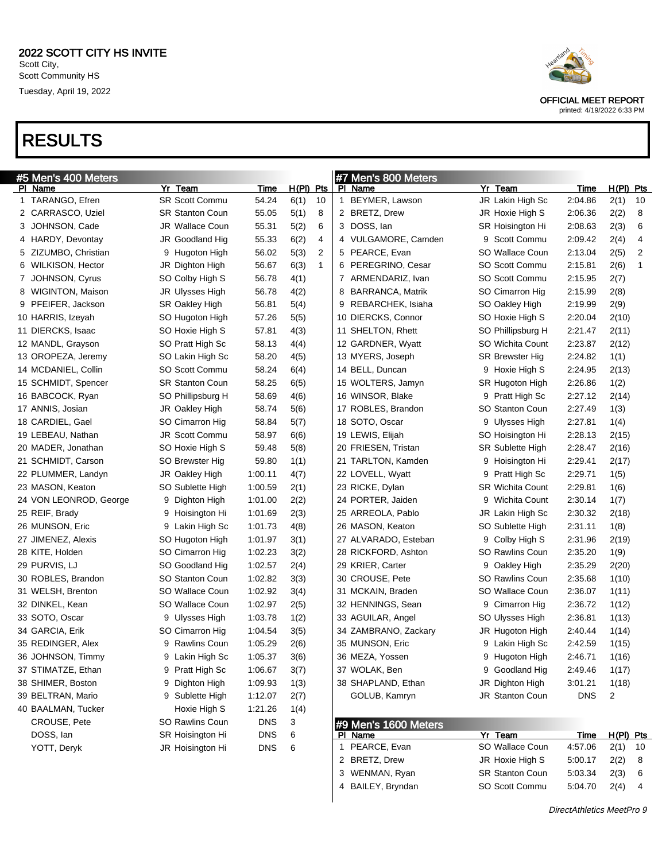

printed: 4/19/2022 6:33 PM

| #5 Men's 400 Meters    |                        |            |             |              |   | #7 Men's 800 Meters  |                         |             |                |    |
|------------------------|------------------------|------------|-------------|--------------|---|----------------------|-------------------------|-------------|----------------|----|
| PI Name                | Yr Team                | Time       | $H(PI)$ Pts |              |   | PI Name              | Yr Team                 | Time        | $H(PI)$ Pts    |    |
| 1 TARANGO, Efren       | <b>SR Scott Commu</b>  | 54.24      | 6(1)        | 10           | 1 | BEYMER, Lawson       | JR Lakin High Sc        | 2:04.86     | 2(1)           | 10 |
| 2 CARRASCO, Uziel      | <b>SR Stanton Coun</b> | 55.05      | 5(1)        | 8            |   | 2 BRETZ, Drew        | JR Hoxie High S         | 2:06.36     | 2(2)           | 8  |
| 3 JOHNSON, Cade        | JR Wallace Coun        | 55.31      | 5(2)        | 6            |   | 3 DOSS, lan          | SR Hoisington Hi        | 2:08.63     | 2(3)           | 6  |
| 4 HARDY, Devontay      | JR Goodland Hig        | 55.33      | 6(2)        | 4            |   | 4 VULGAMORE, Camden  | Scott Commu<br>9        | 2:09.42     | 2(4)           | 4  |
| 5 ZIZUMBO, Christian   | 9 Hugoton High         | 56.02      | 5(3)        | 2            |   | 5 PEARCE, Evan       | SO Wallace Coun         | 2:13.04     | 2(5)           | 2  |
| 6 WILKISON, Hector     | JR Dighton High        | 56.67      | 6(3)        | $\mathbf{1}$ | 6 | PEREGRINO, Cesar     | SO Scott Commu          | 2:15.81     | 2(6)           | 1  |
| 7 JOHNSON, Cyrus       | SO Colby High S        | 56.78      | 4(1)        |              |   | 7 ARMENDARIZ, Ivan   | SO Scott Commu          | 2:15.95     | 2(7)           |    |
| 8 WIGINTON, Maison     | JR Ulysses High        | 56.78      | 4(2)        |              | 8 | BARRANCA, Matrik     | SO Cimarron Hig         | 2:15.99     | 2(8)           |    |
| 9 PFEIFER, Jackson     | <b>SR Oakley High</b>  | 56.81      | 5(4)        |              | 9 | REBARCHEK, Isiaha    | SO Oakley High          | 2:19.99     | 2(9)           |    |
| 10 HARRIS, Izeyah      | SO Hugoton High        | 57.26      | 5(5)        |              |   | 10 DIERCKS, Connor   | SO Hoxie High S         | 2:20.04     | 2(10)          |    |
| 11 DIERCKS, Isaac      | SO Hoxie High S        | 57.81      | 4(3)        |              |   | 11 SHELTON, Rhett    | SO Phillipsburg H       | 2:21.47     | 2(11)          |    |
| 12 MANDL, Grayson      | SO Pratt High Sc       | 58.13      | 4(4)        |              |   | 12 GARDNER, Wyatt    | SO Wichita Count        | 2:23.87     | 2(12)          |    |
| 13 OROPEZA, Jeremy     | SO Lakin High Sc       | 58.20      | 4(5)        |              |   | 13 MYERS, Joseph     | SR Brewster Hig         | 2:24.82     | 1(1)           |    |
| 14 MCDANIEL, Collin    | SO Scott Commu         | 58.24      | 6(4)        |              |   | 14 BELL, Duncan      | 9 Hoxie High S          | 2:24.95     | 2(13)          |    |
| 15 SCHMIDT, Spencer    | <b>SR Stanton Coun</b> | 58.25      | 6(5)        |              |   | 15 WOLTERS, Jamyn    | SR Hugoton High         | 2:26.86     | 1(2)           |    |
| 16 BABCOCK, Ryan       | SO Phillipsburg H      | 58.69      | 4(6)        |              |   | 16 WINSOR, Blake     | 9 Pratt High Sc         | 2:27.12     | 2(14)          |    |
| 17 ANNIS, Josian       | JR Oakley High         | 58.74      | 5(6)        |              |   | 17 ROBLES, Brandon   | SO Stanton Coun         | 2:27.49     | 1(3)           |    |
| 18 CARDIEL, Gael       | SO Cimarron Hig        | 58.84      | 5(7)        |              |   | 18 SOTO, Oscar       | Ulysses High<br>9       | 2:27.81     | 1(4)           |    |
| 19 LEBEAU, Nathan      | JR Scott Commu         | 58.97      | 6(6)        |              |   | 19 LEWIS, Elijah     | SO Hoisington Hi        | 2:28.13     | 2(15)          |    |
| 20 MADER, Jonathan     | SO Hoxie High S        | 59.48      | 5(8)        |              |   | 20 FRIESEN, Tristan  | <b>SR Sublette High</b> | 2:28.47     | 2(16)          |    |
| 21 SCHMIDT, Carson     | SO Brewster Hig        | 59.80      | 1(1)        |              |   | 21 TARLTON, Kamden   | Hoisington Hi<br>9      | 2:29.41     | 2(17)          |    |
| 22 PLUMMER, Landyn     | JR Oakley High         | 1:00.11    | 4(7)        |              |   | 22 LOVELL, Wyatt     | 9<br>Pratt High Sc      | 2:29.71     | 1(5)           |    |
| 23 MASON, Keaton       | SO Sublette High       | 1:00.59    | 2(1)        |              |   | 23 RICKE, Dylan      | <b>SR Wichita Count</b> | 2:29.81     | 1(6)           |    |
| 24 VON LEONROD, George | 9 Dighton High         | 1:01.00    | 2(2)        |              |   | 24 PORTER, Jaiden    | Wichita Count<br>9      | 2:30.14     | 1(7)           |    |
| 25 REIF, Brady         | 9 Hoisington Hi        | 1:01.69    | 2(3)        |              |   | 25 ARREOLA, Pablo    | JR Lakin High Sc        | 2:30.32     | 2(18)          |    |
| 26 MUNSON, Eric        | 9 Lakin High Sc        | 1:01.73    | 4(8)        |              |   | 26 MASON, Keaton     | SO Sublette High        | 2:31.11     | 1(8)           |    |
| 27 JIMENEZ, Alexis     | SO Hugoton High        | 1:01.97    | 3(1)        |              |   | 27 ALVARADO, Esteban | Colby High S<br>9       | 2:31.96     | 2(19)          |    |
| 28 KITE, Holden        | SO Cimarron Hig        | 1:02.23    | 3(2)        |              |   | 28 RICKFORD, Ashton  | <b>SO Rawlins Coun</b>  | 2:35.20     | 1(9)           |    |
| 29 PURVIS, LJ          | SO Goodland Hig        | 1:02.57    | 2(4)        |              |   | 29 KRIER, Carter     | 9<br>Oakley High        | 2:35.29     | 2(20)          |    |
| 30 ROBLES, Brandon     | <b>SO Stanton Coun</b> | 1:02.82    | 3(3)        |              |   | 30 CROUSE, Pete      | SO Rawlins Coun         | 2:35.68     | 1(10)          |    |
| 31 WELSH, Brenton      | SO Wallace Coun        | 1:02.92    | 3(4)        |              |   | 31 MCKAIN, Braden    | SO Wallace Coun         | 2:36.07     | 1(11)          |    |
| 32 DINKEL, Kean        | SO Wallace Coun        | 1:02.97    | 2(5)        |              |   | 32 HENNINGS, Sean    | Cimarron Hig<br>9       | 2:36.72     | 1(12)          |    |
| 33 SOTO, Oscar         | 9 Ulysses High         | 1:03.78    | 1(2)        |              |   | 33 AGUILAR, Angel    | SO Ulysses High         | 2:36.81     | 1(13)          |    |
| 34 GARCIA, Erik        | SO Cimarron Hig        | 1:04.54    | 3(5)        |              |   | 34 ZAMBRANO, Zackary | JR Hugoton High         | 2:40.44     | 1(14)          |    |
| 35 REDINGER, Alex      | 9 Rawlins Coun         | 1:05.29    | 2(6)        |              |   | 35 MUNSON, Eric      | 9 Lakin High Sc         | 2:42.59     | 1(15)          |    |
| 36 JOHNSON, Timmy      | 9 Lakin High Sc        | 1:05.37    | 3(6)        |              |   | 36 MEZA, Yossen      | 9 Hugoton High          | 2:46.71     | 1(16)          |    |
| 37 STIMATZE, Ethan     | 9 Pratt High Sc        | 1:06.67    | 3(7)        |              |   | 37 WOLAK, Ben        | 9 Goodland Hig          | 2:49.46     | 1(17)          |    |
| 38 SHIMER, Boston      | 9 Dighton High         | 1:09.93    | 1(3)        |              |   | 38 SHAPLAND, Ethan   | JR Dighton High         | 3:01.21     | 1(18)          |    |
| 39 BELTRAN, Mario      | 9 Sublette High        | 1:12.07    | 2(7)        |              |   | GOLUB, Kamryn        | JR Stanton Coun         | <b>DNS</b>  | $\overline{c}$ |    |
| 40 BAALMAN, Tucker     | Hoxie High S           | 1:21.26    | 1(4)        |              |   |                      |                         |             |                |    |
| CROUSE, Pete           | SO Rawlins Coun        | <b>DNS</b> | 3           |              |   | #9 Men's 1600 Meters |                         |             |                |    |
| DOSS, lan              | SR Hoisington Hi       | <b>DNS</b> | 6           |              |   | PI Name              | Yr Team                 | <u>Time</u> | $H(PI)$ Pts    |    |
| YOTT, Deryk            | JR Hoisington Hi       | DNS        | 6           |              |   | 1 PEARCE, Evan       | SO Wallace Coun         | 4:57.06     | 2(1)           | 10 |
|                        |                        |            |             |              |   | 2 BRETZ, Drew        | JR Hoxie High S         | 5:00.17     | 2(2)           | 8  |
|                        |                        |            |             |              |   | 3 WENMAN, Ryan       | SR Stanton Coun         | 5:03.34     | 2(3)           | 6  |

4 BAILEY, Bryndan SO Scott Commu 5:04.70 2(4) 4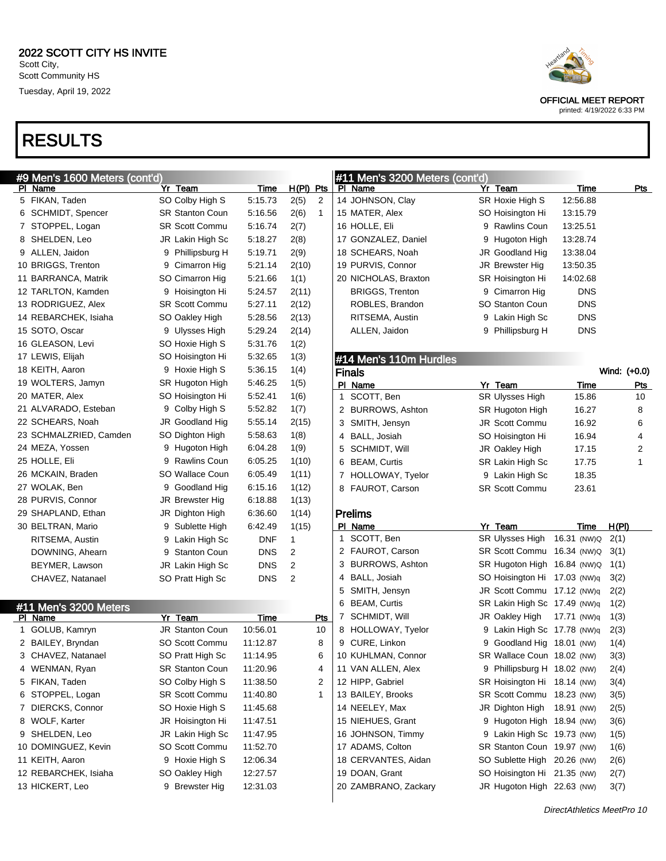| #9 Men's 1600 Meters (cont'd) |                        |             |                      |              | #11 Men's 3200 Meters (cont'd) |                |
|-------------------------------|------------------------|-------------|----------------------|--------------|--------------------------------|----------------|
| PI Name                       | Yr Team                | <b>Time</b> | $H(PI)$ Pts          |              | PI Name                        | Y              |
| 5 FIKAN, Taden                | SO Colby High S        | 5.15.73     | 2(5)<br>2            |              | 14 JOHNSON, Clay               | SI             |
| 6 SCHMIDT, Spencer            | <b>SR Stanton Coun</b> | 5:16.56     | 2(6)<br>$\mathbf{1}$ |              | 15 MATER, Alex                 | S(             |
| 7 STOPPEL, Logan              | <b>SR Scott Commu</b>  | 5:16.74     | 2(7)                 |              | 16 HOLLE, Eli                  | ξ              |
| 8 SHELDEN, Leo                | JR Lakin High Sc       | 5:18.27     | 2(8)                 |              | 17 GONZALEZ, Daniel            | ξ              |
| 9 ALLEN, Jaidon               | 9 Phillipsburg H       | 5:19.71     | 2(9)                 |              | 18 SCHEARS, Noah               | JF             |
| 10 BRIGGS, Trenton            | 9 Cimarron Hig         | 5:21.14     | 2(10)                |              | 19 PURVIS, Connor              | JF             |
| 11 BARRANCA, Matrik           | SO Cimarron Hig        | 5:21.66     | 1(1)                 |              | 20 NICHOLAS, Braxton           | SI             |
| 12 TARLTON, Kamden            | 9 Hoisington Hi        | 5:24.57     | 2(11)                |              | <b>BRIGGS, Trenton</b>         | ξ              |
| 13 RODRIGUEZ, Alex            | <b>SR Scott Commu</b>  | 5:27.11     | 2(12)                |              | ROBLES, Brandon                | S <sub>0</sub> |
| 14 REBARCHEK, Isiaha          | SO Oakley High         | 5:28.56     | 2(13)                |              | RITSEMA, Austin                |                |
| 15 SOTO, Oscar                | 9 Ulysses High         | 5:29.24     | 2(14)                |              | ALLEN, Jaidon                  |                |
| 16 GLEASON, Levi              | SO Hoxie High S        | 5:31.76     | 1(2)                 |              |                                |                |
| 17 LEWIS, Elijah              | SO Hoisington Hi       | 5:32.65     | 1(3)                 |              | #14 Men's 110m Hurdles         |                |
| 18 KEITH, Aaron               | 9 Hoxie High S         | 5:36.15     | 1(4)                 |              | <b>Finals</b>                  |                |
| 19 WOLTERS, Jamyn             | SR Hugoton High        | 5:46.25     | 1(5)                 |              | PI Name                        | <u>Y</u>       |
| 20 MATER, Alex                | SO Hoisington Hi       | 5:52.41     | 1(6)                 | $\mathbf{1}$ | SCOTT, Ben                     | SI             |
| 21 ALVARADO, Esteban          | 9 Colby High S         | 5:52.82     | 1(7)                 | $\mathbf{2}$ | BURROWS, Ashton                | SI             |
| 22 SCHEARS, Noah              | JR Goodland Hig        | 5:55.14     | 2(15)                |              | 3 SMITH, Jensyn                | JF             |
| 23 SCHMALZRIED, Camden        | SO Dighton High        | 5.58.63     | 1(8)                 | 4            | BALL, Josiah                   | S)             |
| 24 MEZA, Yossen               | 9 Hugoton High         | 6:04.28     | 1(9)                 | 5            | SCHMIDT, Will                  | JF             |
| 25 HOLLE, Eli                 | 9 Rawlins Coun         | 6:05.25     | 1(10)                | 6            | <b>BEAM, Curtis</b>            | SI             |
| 26 MCKAIN, Braden             | SO Wallace Coun        | 6:05.49     | 1(11)                | $7^{\circ}$  | HOLLOWAY, Tyelor               |                |
| 27 WOLAK, Ben                 | 9 Goodland Hig         | 6:15.16     | 1(12)                |              | 8 FAUROT, Carson               | SI             |
| 28 PURVIS, Connor             | JR Brewster Hig        | 6:18.88     | 1(13)                |              |                                |                |
| 29 SHAPLAND, Ethan            | JR Dighton High        | 6:36.60     | 1(14)                |              | <b>Prelims</b>                 |                |
| 30 BELTRAN, Mario             | 9 Sublette High        | 6:42.49     | 1(15)                |              | PI Name                        | <u>Y</u>       |
| RITSEMA, Austin               | 9 Lakin High Sc        | DNF         | 1                    |              | 1 SCOTT, Ben                   | SI             |
| DOWNING, Ahearn               | 9 Stanton Coun         | <b>DNS</b>  | 2                    |              | 2 FAUROT, Carson               | SI             |
| BEYMER, Lawson                | JR Lakin High Sc       | <b>DNS</b>  | 2                    |              | 3 BURROWS, Ashton              | SI             |
| CHAVEZ, Natanael              | SO Pratt High Sc       | <b>DNS</b>  | 2                    |              | 4 BALL, Josiah                 | S(             |
|                               |                        |             |                      | 5            | SMITH, Jensyn                  | JF             |
| #11 Men's 3200 Meters         |                        |             |                      |              | 6 BEAM, Curtis                 | SI             |
| PI Name                       | Yr Team                | <b>Time</b> | <b>Pts</b>           | 7            | SCHMIDT, Will                  | JF             |
| 1 GOLUB, Kamryn               | JR Stanton Coun        | 10:56.01    | 10                   |              | 8 HOLLOWAY, Tyelor             |                |
| 2 BAILEY, Bryndan             | SO Scott Commu         | 11:12.87    | 8                    |              | 9 CURE, Linkon                 |                |
| 3 CHAVEZ, Natanael            | SO Pratt High Sc       | 11:14.95    | 6                    |              | 10 KUHLMAN, Connor             | SI             |
| 4 WENMAN, Ryan                | <b>SR Stanton Coun</b> | 11:20.96    | 4                    |              | 11 VAN ALLEN, Alex             |                |
| 5 FIKAN, Taden                | SO Colby High S        | 11:38.50    | 2                    |              | 12 HIPP, Gabriel               | SI             |
| 6 STOPPEL, Logan              | SR Scott Commu         | 11:40.80    | 1                    |              | 13 BAILEY, Brooks              | SI             |
| 7 DIERCKS, Connor             | SO Hoxie High S        | 11:45.68    |                      |              | 14 NEELEY, Max                 | JF             |
| 8 WOLF, Karter                | JR Hoisington Hi       | 11:47.51    |                      |              | 15 NIEHUES, Grant              |                |
| 9 SHELDEN, Leo                | JR Lakin High Sc       | 11:47.95    |                      |              | 16 JOHNSON, Timmy              | ς              |
| 10 DOMINGUEZ, Kevin           | SO Scott Commu         | 11:52.70    |                      |              | 17 ADAMS, Colton               | SI             |
| 11 KEITH, Aaron               | 9 Hoxie High S         | 12:06.34    |                      |              | 18 CERVANTES, Aidan            | S              |
| 12 REBARCHEK, Isiaha          | SO Oakley High         | 12:27.57    |                      |              | 19 DOAN, Grant                 | S              |
| 13 HICKERT, Leo               | 9 Brewster Hig         | 12:31.03    |                      |              | 20 ZAMBRANO, Zackary           | JF             |



OFFICIAL MEET REPORT

|   | #11 Men's 3200 Meters (cont'd) |                             |             |              |
|---|--------------------------------|-----------------------------|-------------|--------------|
|   | PI Name                        | Yr Team                     | <u>Time</u> | Pts          |
|   | 14 JOHNSON, Clay               | SR Hoxie High S             | 12:56.88    |              |
|   | 15 MATER, Alex                 | SO Hoisington Hi            | 13:15.79    |              |
|   | 16 HOLLE, Eli                  | 9 Rawlins Coun              | 13:25.51    |              |
|   | 17 GONZALEZ, Daniel            | 9 Hugoton High              | 13:28.74    |              |
|   | 18 SCHEARS, Noah               | JR Goodland Hig             | 13:38.04    |              |
|   | 19 PURVIS, Connor              | JR Brewster Hig             | 13:50.35    |              |
|   | 20 NICHOLAS, Braxton           | SR Hoisington Hi            | 14:02.68    |              |
|   | <b>BRIGGS, Trenton</b>         | 9 Cimarron Hig              | <b>DNS</b>  |              |
|   | ROBLES, Brandon                | SO Stanton Coun             | DNS         |              |
|   | RITSEMA, Austin                | 9 Lakin High Sc             | <b>DNS</b>  |              |
|   | ALLEN, Jaidon                  | 9 Phillipsburg H            | DNS         |              |
|   |                                |                             |             |              |
|   | #14 Men's 110m Hurdles         |                             |             |              |
|   | Finals                         |                             |             | Wind: (+0.0) |
|   | PI Name                        | Yr Team                     | <u>Time</u> | Pts          |
| 1 | SCOTT, Ben                     | <b>SR Ulysses High</b>      | 15.86       | 10           |
|   | 2 BURROWS, Ashton              | SR Hugoton High             | 16.27       | 8            |
| 3 | SMITH, Jensyn                  | <b>JR Scott Commu</b>       | 16.92       | 6            |
|   | 4 BALL, Josiah                 | SO Hoisington Hi            | 16.94       | 4            |
| 5 | SCHMIDT, Will                  | JR Oakley High              | 17.15       | 2            |
| 6 | <b>BEAM, Curtis</b>            | SR Lakin High Sc            | 17.75       | 1            |
| 7 | HOLLOWAY, Tyelor               | 9 Lakin High Sc             | 18.35       |              |
| 8 | FAUROT, Carson                 | <b>SR Scott Commu</b>       | 23.61       |              |
|   |                                |                             |             |              |
|   | Prelims                        |                             |             |              |
|   | PI Name                        | Yr Team                     | <u>Time</u> | H(PI)        |
| 1 | SCOTT, Ben                     | SR Ulysses High             | 16.31 (NW)Q | 2(1)         |
|   | 2 FAUROT, Carson               | <b>SR Scott Commu</b>       | 16.34 (NW)Q | 3(1)         |
|   | 3 BURROWS, Ashton              | SR Hugoton High             | 16.84 (NW)Q | 1(1)         |
|   | 4 BALL, Josiah                 | SO Hoisington Hi            | 17.03 (NW)q | 3(2)         |
|   | 5 SMITH, Jensyn                | JR Scott Commu              | 17.12 (NW)q | 2(2)         |
|   | 6 BEAM, Curtis                 | SR Lakin High Sc            | 17.49 (NW)q | 1(2)         |
|   | 7 SCHMIDT, Will                | JR Oakley High              | 17.71 (NW)q | 1(3)         |
|   | 8 HOLLOWAY, Tyelor             | 9 Lakin High Sc             | 17.78 (NW)q | 2(3)         |
|   | 9 CURE, Linkon                 | 9 Goodland Hig              | 18.01 (NW)  | 1(4)         |
|   | 10 KUHLMAN, Connor             | SR Wallace Coun 18.02 (NW)  |             | 3(3)         |
|   | 11 VAN ALLEN, Alex             | 9 Phillipsburg H 18.02 (NW) |             | 2(4)         |
|   | 12 HIPP, Gabriel               | SR Hoisington Hi            | 18.14 (NW)  | 3(4)         |
|   | 13 BAILEY, Brooks              | <b>SR Scott Commu</b>       | 18.23 (NW)  | 3(5)         |
|   | 14 NEELEY, Max                 | JR Dighton High             | 18.91 (NW)  | 2(5)         |
|   | 15 NIEHUES, Grant              | 9 Hugoton High              | 18.94 (NW)  | 3(6)         |
|   | 16 JOHNSON, Timmy              | 9 Lakin High Sc             | 19.73 (NW)  | 1(5)         |
|   | 17 ADAMS, Colton               | <b>SR Stanton Coun</b>      | 19.97 (NW)  | 1(6)         |
|   | 18 CERVANTES, Aidan            | SO Sublette High            | 20.26 (NW)  | 2(6)         |
|   | 19 DOAN, Grant                 | SO Hoisington Hi            | 21.35 (NW)  | 2(7)         |
|   | 20 ZAMBRANO, Zackary           | JR Hugoton High 22.63 (NW)  |             | 3(7)         |
|   |                                |                             |             |              |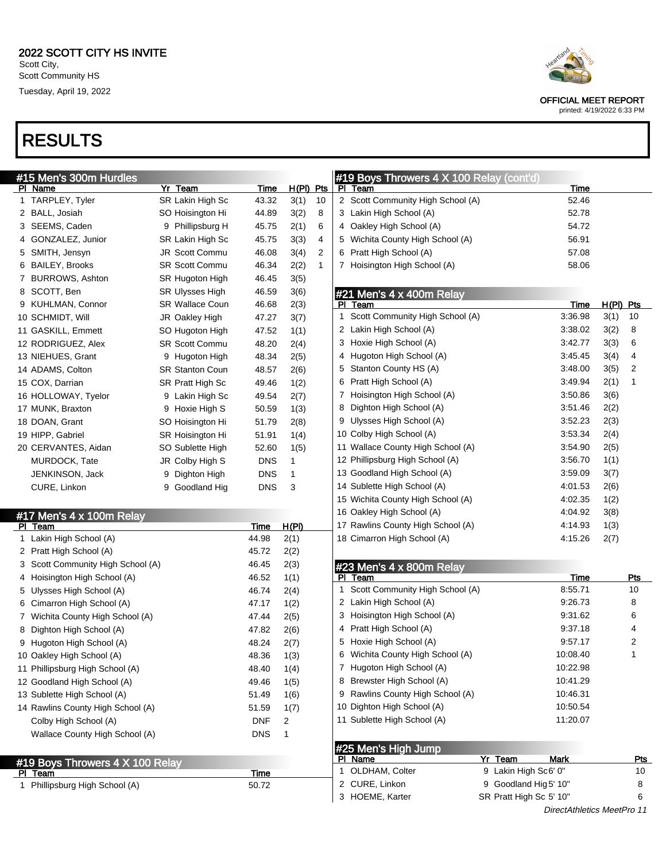| #15 Men's 300m Hurdles            |                        |             |           |                |   | #19 Boys Throwers 4 X 100 Relay (cont'd) |                          |                            |           |            |
|-----------------------------------|------------------------|-------------|-----------|----------------|---|------------------------------------------|--------------------------|----------------------------|-----------|------------|
| PI Name                           | Yr Team                | <u>Time</u> | H(PI) Pts |                |   | PI Team                                  |                          | <b>Time</b>                |           |            |
| 1 TARPLEY, Tyler                  | SR Lakin High Sc       | 43.32       | 3(1)      | 10             |   | 2 Scott Community High School (A)        |                          | 52.46                      |           |            |
| 2 BALL, Josiah                    | SO Hoisington Hi       | 44.89       | 3(2)      | 8              |   | 3 Lakin High School (A)                  |                          | 52.78                      |           |            |
| 3 SEEMS, Caden                    | 9 Phillipsburg H       | 45.75       | 2(1)      | 6              |   | 4 Oakley High School (A)                 |                          | 54.72                      |           |            |
| 4 GONZALEZ, Junior                | SR Lakin High Sc       | 45.75       | 3(3)      | 4              |   | 5 Wichita County High School (A)         |                          | 56.91                      |           |            |
| 5 SMITH, Jensyn                   | JR Scott Commu         | 46.08       | 3(4)      | $\overline{c}$ |   | 6 Pratt High School (A)                  |                          | 57.08                      |           |            |
| 6 BAILEY, Brooks                  | <b>SR Scott Commu</b>  | 46.34       | 2(2)      | $\mathbf{1}$   |   | 7 Hoisington High School (A)             |                          | 58.06                      |           |            |
| 7 BURROWS, Ashton                 | SR Hugoton High        | 46.45       | 3(5)      |                |   |                                          |                          |                            |           |            |
| 8 SCOTT, Ben                      | <b>SR Ulysses High</b> | 46.59       | 3(6)      |                |   | #21 Men's 4 x 400m Relay                 |                          |                            |           |            |
| 9 KUHLMAN, Connor                 | <b>SR Wallace Coun</b> | 46.68       | 2(3)      |                |   | PI Team                                  |                          | Time                       | H(PI) Pts |            |
| 10 SCHMIDT, Will                  | JR Oakley High         | 47.27       | 3(7)      |                |   | 1 Scott Community High School (A)        |                          | 3:36.98                    | 3(1)      | 10         |
| 11 GASKILL, Emmett                | SO Hugoton High        | 47.52       | 1(1)      |                |   | 2 Lakin High School (A)                  |                          | 3:38.02                    | 3(2)      | 8          |
| 12 RODRIGUEZ, Alex                | <b>SR Scott Commu</b>  | 48.20       | 2(4)      |                |   | 3 Hoxie High School (A)                  |                          | 3:42.77                    | 3(3)      | 6          |
| 13 NIEHUES, Grant                 | 9 Hugoton High         | 48.34       | 2(5)      |                |   | 4 Hugoton High School (A)                |                          | 3:45.45                    | 3(4)      | 4          |
| 14 ADAMS, Colton                  | <b>SR Stanton Coun</b> | 48.57       | 2(6)      |                |   | 5 Stanton County HS (A)                  |                          | 3:48.00                    | 3(5)      | 2          |
| 15 COX, Darrian                   | SR Pratt High Sc       | 49.46       | 1(2)      |                |   | 6 Pratt High School (A)                  |                          | 3:49.94                    | 2(1)      | 1          |
| 16 HOLLOWAY, Tyelor               | 9 Lakin High Sc        | 49.54       | 2(7)      |                |   | 7 Hoisington High School (A)             |                          | 3:50.86                    | 3(6)      |            |
| 17 MUNK, Braxton                  | 9 Hoxie High S         | 50.59       | 1(3)      |                |   | 8 Dighton High School (A)                |                          | 3:51.46                    | 2(2)      |            |
| 18 DOAN, Grant                    | SO Hoisington Hi       | 51.79       | 2(8)      |                |   | 9 Ulysses High School (A)                |                          | 3:52.23                    | 2(3)      |            |
| 19 HIPP, Gabriel                  | SR Hoisington Hi       | 51.91       | 1(4)      |                |   | 10 Colby High School (A)                 |                          | 3:53.34                    | 2(4)      |            |
| 20 CERVANTES, Aidan               | SO Sublette High       | 52.60       | 1(5)      |                |   | 11 Wallace County High School (A)        |                          | 3:54.90                    | 2(5)      |            |
| MURDOCK, Tate                     | JR Colby High S        | <b>DNS</b>  | 1         |                |   | 12 Phillipsburg High School (A)          |                          | 3:56.70                    | 1(1)      |            |
| JENKINSON, Jack                   | 9 Dighton High         | <b>DNS</b>  |           |                |   | 13 Goodland High School (A)              |                          | 3:59.09                    | 3(7)      |            |
| CURE, Linkon                      | 9 Goodland Hig         | <b>DNS</b>  | 3         |                |   | 14 Sublette High School (A)              |                          | 4:01.53                    | 2(6)      |            |
|                                   |                        |             |           |                |   | 15 Wichita County High School (A)        |                          | 4:02.35                    | 1(2)      |            |
| #17 Men's 4 x 100m Relay          |                        |             |           |                |   | 16 Oakley High School (A)                |                          | 4:04.92                    | 3(8)      |            |
| PI Team                           |                        | Time        | H(PI)     |                |   | 17 Rawlins County High School (A)        |                          | 4:14.93                    | 1(3)      |            |
| 1 Lakin High School (A)           |                        | 44.98       | 2(1)      |                |   | 18 Cimarron High School (A)              |                          | 4:15.26                    | 2(7)      |            |
| 2 Pratt High School (A)           |                        | 45.72       | 2(2)      |                |   |                                          |                          |                            |           |            |
| 3 Scott Community High School (A) |                        | 46.45       | 2(3)      |                |   | #23 Men's 4 x 800m Relay                 |                          |                            |           |            |
| 4 Hoisington High School (A)      |                        | 46.52       | 1(1)      |                |   | PI Team                                  |                          | Time                       |           | Pts        |
| 5 Ulysses High School (A)         |                        | 46.74       | 2(4)      |                | 1 | Scott Community High School (A)          |                          | 8:55.71                    |           | 10         |
| 6 Cimarron High School (A)        |                        | 47.17       | 1(2)      |                |   | 2 Lakin High School (A)                  |                          | 9:26.73                    |           | 8          |
| 7 Wichita County High School (A)  |                        | 47.44       | 2(5)      |                |   | 3 Hoisington High School (A)             |                          | 9:31.62                    |           | 6          |
| 8 Dighton High School (A)         |                        | 47.82       | 2(6)      |                |   | 4 Pratt High School (A)                  |                          | 9:37.18                    |           | 4          |
| 9 Hugoton High School (A)         |                        | 48.24       | 2(7)      |                | 5 | Hoxie High School (A)                    |                          | 9:57.17                    |           | 2          |
| 10 Oakley High School (A)         |                        | 48.36       | 1(3)      |                | 6 | Wichita County High School (A)           |                          | 10:08.40                   |           | 1          |
| 11 Phillipsburg High School (A)   |                        | 48.40       | 1(4)      |                |   | 7 Hugoton High School (A)                |                          | 10:22.98                   |           |            |
| 12 Goodland High School (A)       |                        | 49.46       | 1(5)      |                |   | 8 Brewster High School (A)               |                          | 10:41.29                   |           |            |
| 13 Sublette High School (A)       |                        | 51.49       | 1(6)      |                |   | 9 Rawlins County High School (A)         |                          | 10:46.31                   |           |            |
| 14 Rawlins County High School (A) |                        | 51.59       | 1(7)      |                |   | 10 Dighton High School (A)               |                          | 10:50.54                   |           |            |
| Colby High School (A)             |                        | <b>DNF</b>  | 2         |                |   | 11 Sublette High School (A)              |                          | 11:20.07                   |           |            |
| Wallace County High School (A)    |                        | <b>DNS</b>  | 1         |                |   |                                          |                          |                            |           |            |
|                                   |                        |             |           |                |   | #25 Men's High Jump                      |                          |                            |           |            |
| #19 Boys Throwers 4 X 100 Relay   |                        |             |           |                |   | PI Name                                  | Yr Team                  | <b>Mark</b>                |           | <u>Pts</u> |
| PI Team                           |                        | <u>Time</u> |           |                |   | 1 OLDHAM, Colter                         | 9 Lakin High Sc6' 0"     |                            |           | 10         |
| 1 Phillipsburg High School (A)    |                        | 50.72       |           |                |   | 2 CURE, Linkon                           | Goodland Hig 5' 10"<br>9 |                            |           | 8          |
|                                   |                        |             |           |                |   | 3 HOEME, Karter                          | SR Pratt High Sc 5' 10"  |                            |           | 6          |
|                                   |                        |             |           |                |   |                                          |                          | DirectAthletics MeetPro 11 |           |            |



OFFICIAL MEET REPORT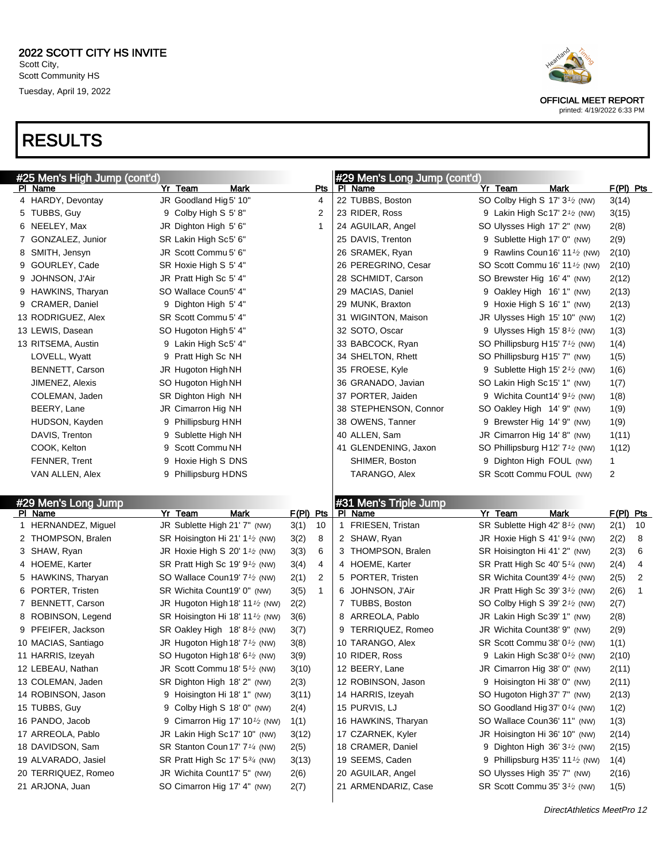|   | #25 Men's High Jump (cont'd)   |   |                                                          |              |              | #29 Men's Long Jump (cont'd)     |   |                                                                            |                |    |
|---|--------------------------------|---|----------------------------------------------------------|--------------|--------------|----------------------------------|---|----------------------------------------------------------------------------|----------------|----|
|   | PI Name                        |   | Yr Team<br>Mark                                          |              | Pts          | PI Name                          |   | Yr Team<br><b>Mark</b>                                                     | $F(PI)$ Pts    |    |
|   | 4 HARDY, Devontay              |   | JR Goodland Hig 5' 10"                                   |              | 4            | 22 TUBBS, Boston                 |   | SO Colby High S 17' 3 <sup>1</sup> / <sub>2</sub> (NW)                     | 3(14)          |    |
|   | 5 TUBBS, Guy                   |   | 9 Colby High S 5' 8"                                     |              | 2            | 23 RIDER, Ross                   |   | 9 Lakin High Sc17' $2\frac{1}{2}$ (NW)                                     | 3(15)          |    |
|   | 6 NEELEY, Max                  |   | JR Dighton High 5' 6"                                    |              | 1            | 24 AGUILAR, Angel                |   | SO Ulysses High 17' 2" (NW)                                                | 2(8)           |    |
|   | 7 GONZALEZ, Junior             |   | SR Lakin High Sc5' 6"                                    |              |              | 25 DAVIS, Trenton                |   | 9 Sublette High 17' 0" (NW)                                                | 2(9)           |    |
|   | 8 SMITH, Jensyn                |   | JR Scott Commu 5' 6"                                     |              |              | 26 SRAMEK, Ryan                  | 9 | Rawlins Coun 16' 11 $\frac{1}{2}$ (NW)                                     | 2(10)          |    |
|   | 9 GOURLEY, Cade                |   | SR Hoxie High S 5' 4"                                    |              |              | 26 PEREGRINO, Cesar              |   | SO Scott Commu 16' 11 <sup>1</sup> / <sub>2</sub> (NW)                     | 2(10)          |    |
| 9 | JOHNSON, J'Air                 |   | JR Pratt High Sc 5' 4"                                   |              |              | 28 SCHMIDT, Carson               |   | SO Brewster Hig 16' 4" (NW)                                                | 2(12)          |    |
|   | 9 HAWKINS, Tharyan             |   | SO Wallace Coun5' 4"                                     |              |              | 29 MACIAS, Daniel                |   | 9 Oakley High 16' 1" (NW)                                                  | 2(13)          |    |
|   | 9 CRAMER, Daniel               |   | 9 Dighton High 5' 4"                                     |              |              | 29 MUNK, Braxton                 |   | 9 Hoxie High S 16' 1" (NW)                                                 | 2(13)          |    |
|   | 13 RODRIGUEZ, Alex             |   | SR Scott Commu 5' 4"                                     |              |              | 31 WIGINTON, Maison              |   | JR Ulysses High 15' 10" (NW)                                               | 1(2)           |    |
|   | 13 LEWIS, Dasean               |   | SO Hugoton High 5' 4"                                    |              |              | 32 SOTO, Oscar                   |   | 9 Ulysses High 15' 8 $\frac{1}{2}$ (NW)                                    | 1(3)           |    |
|   | 13 RITSEMA, Austin             |   | 9 Lakin High Sc5' 4"                                     |              |              | 33 BABCOCK, Ryan                 |   | SO Phillipsburg H15' $7\frac{1}{2}$ (NW)                                   | 1(4)           |    |
|   | LOVELL, Wyatt                  | 9 | Pratt High Sc NH                                         |              |              | 34 SHELTON, Rhett                |   | SO Phillipsburg H15' 7" (NW)                                               | 1(5)           |    |
|   | BENNETT, Carson                |   | JR Hugoton High NH                                       |              |              | 35 FROESE, Kyle                  |   | 9 Sublette High 15' $2\frac{1}{2}$ (NW)                                    | 1(6)           |    |
|   | JIMENEZ, Alexis                |   | SO Hugoton High NH                                       |              |              | 36 GRANADO, Javian               |   | SO Lakin High Sc15' 1" (NW)                                                | 1(7)           |    |
|   | COLEMAN, Jaden                 |   | SR Dighton High NH                                       |              |              | 37 PORTER, Jaiden                |   | 9 Wichita Count 14' $91$ (NW)                                              | 1(8)           |    |
|   | BEERY, Lane                    |   | JR Cimarron Hig NH                                       |              |              | 38 STEPHENSON, Connor            |   | SO Oakley High 14' 9" (NW)                                                 | 1(9)           |    |
|   | HUDSON, Kayden                 | 9 | Phillipsburg HNH                                         |              |              | 38 OWENS, Tanner                 | 9 | Brewster Hig 14' 9" (NW)                                                   | 1(9)           |    |
|   | DAVIS, Trenton                 | 9 | Sublette High NH                                         |              |              | 40 ALLEN, Sam                    |   | JR Cimarron Hig 14' 8" (NW)                                                | 1(11)          |    |
|   | COOK, Kelton                   | 9 | Scott Commu NH                                           |              |              | 41 GLENDENING, Jaxon             |   | SO Phillipsburg H12' $7\frac{1}{2}$ (NW)                                   | 1(12)          |    |
|   | FENNER, Trent                  | 9 | Hoxie High S DNS                                         |              |              | SHIMER, Boston                   | 9 | Dighton High FOUL (NW)                                                     | $\mathbf{1}$   |    |
|   | VAN ALLEN, Alex                |   | 9 Phillipsburg HDNS                                      |              |              | TARANGO, Alex                    |   | SR Scott Commu FOUL (NW)                                                   | $\overline{2}$ |    |
|   |                                |   |                                                          |              |              |                                  |   |                                                                            |                |    |
|   |                                |   |                                                          |              |              |                                  |   |                                                                            |                |    |
|   |                                |   |                                                          |              |              |                                  |   |                                                                            |                |    |
|   | #29 Men's Long Jump<br>PI Name |   | Yr Team<br><b>Mark</b>                                   | F(PI) Pts    |              | #31 Men's Triple Jump<br>PI Name |   | <b>Mark</b><br>Yr Team                                                     | F(PI) Pts      |    |
|   | 1 HERNANDEZ, Miguel            |   | JR Sublette High 21' 7" (NW)                             | 3(1)         | 10           | 1 FRIESEN, Tristan               |   | SR Sublette High 42' 8 <sup>1</sup> / <sub>2</sub> (NW)                    | 2(1)           | 10 |
|   | 2 THOMPSON, Bralen             |   | SR Hoisington Hi 21' 1 <sup>1</sup> / <sub>2</sub> (NW)  | 3(2)         | 8            | 2 SHAW, Ryan                     |   | JR Hoxie High S 41' $9\frac{1}{4}$ (NW)                                    | 2(2)           | 8  |
|   | 3 SHAW, Ryan                   |   | JR Hoxie High S 20' 1 $\frac{1}{2}$ (NW)                 | 3(3)         | 6            | 3 THOMPSON, Bralen               |   | SR Hoisington Hi 41' 2" (NW)                                               | 2(3)           | 6  |
|   | 4 HOEME, Karter                |   | SR Pratt High Sc 19' 9 <sup>1</sup> / <sub>2</sub> (NW)  | 3(4)         | 4            | 4 HOEME, Karter                  |   | SR Pratt High Sc 40' $5\frac{1}{4}$ (NW)                                   | 2(4)           | 4  |
|   | 5 HAWKINS, Tharyan             |   | SO Wallace Coun19' 7 <sup>1</sup> / <sub>2</sub> (NW)    | 2(1)         | 2            | 5 PORTER, Tristen                |   | SR Wichita Count39' 4 <sup>1</sup> / <sub>2</sub> (NW)                     | 2(5)           | 2  |
|   | 6 PORTER, Tristen              |   | SR Wichita Count19' 0" (NW)                              | 3(5)         | $\mathbf{1}$ | 6 JOHNSON, J'Air                 |   | JR Pratt High Sc 39' $3\frac{1}{2}$ (NW)                                   | 2(6)           | 1  |
|   | 7 BENNETT, Carson              |   | JR Hugoton High 18' 11 <sup>1</sup> /2 (NW)              | 2(2)         |              | 7 TUBBS, Boston                  |   | SO Colby High S 39' 2 <sup>1</sup> / <sub>2</sub> (NW)                     | 2(7)           |    |
|   | 8 ROBINSON, Legend             |   | SR Hoisington Hi 18' 11 <sup>1</sup> / <sub>2</sub> (NW) | 3(6)         |              | 8 ARREOLA, Pablo                 |   | JR Lakin High Sc39' 1" (NW)                                                | 2(8)           |    |
|   | 9 PFEIFER, Jackson             |   | SR Oakley High 18' 8 <sup>1</sup> / <sub>2</sub> (NW)    | 3(7)         |              | 9 TERRIQUEZ, Romeo               |   | JR Wichita Count38' 9" (NW)                                                | 2(9)           |    |
|   | 10 MACIAS, Santiago            |   | JR Hugoton High 18' 7 <sup>1</sup> / <sub>2</sub> (NW)   | 3(8)         |              | 10 TARANGO, Alex                 |   | SR Scott Commu 38' 0 <sup>1</sup> /2 (NW)                                  | 1(1)           |    |
|   | 11 HARRIS, Izeyah              |   | SO Hugoton High 18' 6 <sup>1/2</sup> (NW)                | 3(9)         |              | 10 RIDER, Ross                   |   | 9 Lakin High Sc38' 0 <sup>1</sup> / <sub>2</sub> (NW)                      | 2(10)          |    |
|   | 12 LEBEAU, Nathan              |   | JR Scott Commu 18' $5\frac{1}{2}$ (NW)                   | 3(10)        |              | 12 BEERY, Lane                   |   | JR Cimarron Hig 38' 0" (NW)                                                | 2(11)          |    |
|   | 13 COLEMAN, Jaden              |   | SR Dighton High 18' 2" (NW)                              | 2(3)         |              | 12 ROBINSON, Jason               |   | 9 Hoisington Hi 38' 0" (NW)                                                | 2(11)          |    |
|   | 14 ROBINSON, Jason             |   | 9 Hoisington Hi 18' 1" (NW)                              | 3(11)        |              | 14 HARRIS, Izeyah                |   | SO Hugoton High 37' 7" (NW)                                                | 2(13)          |    |
|   | 15 TUBBS, Guy                  |   | 9 Colby High S 18' 0" (NW)                               | 2(4)         |              | 15 PURVIS, LJ                    |   | SO Goodland Hig 37' 0 <sup>1/4</sup> (NW)                                  | 1(2)           |    |
|   | 16 PANDO, Jacob                |   | 9 Cimarron Hig 17' 10 <sup>1</sup> / <sub>2</sub> (NW)   | 1(1)         |              | 16 HAWKINS, Tharyan              |   | SO Wallace Coun36' 11" (NW)                                                | 1(3)           |    |
|   | 17 ARREOLA, Pablo              |   | JR Lakin High Sc17' 10" (NW)                             | 3(12)        |              | 17 CZARNEK, Kyler                |   | JR Hoisington Hi 36' 10" (NW)                                              |                |    |
|   | 18 DAVIDSON, Sam               |   | SR Stanton Coun 17' 7 <sup>1/4</sup> (NW)                | 2(5)         |              | 18 CRAMER, Daniel                |   |                                                                            | 2(14)<br>2(15) |    |
|   | 19 ALVARADO, Jasiel            |   | SR Pratt High Sc 17' 534 (NW)                            |              |              | 19 SEEMS, Caden                  |   | 9 Dighton High 36' 3 <sup>1</sup> / <sub>2</sub> (NW)                      |                |    |
|   | 20 TERRIQUEZ, Romeo            |   | JR Wichita Count17' 5" (NW)                              | 3(13)        |              | 20 AGUILAR, Angel                |   | 9 Phillipsburg H35' 11 <sup>1</sup> /2 (NW)<br>SO Ulysses High 35' 7" (NW) | 1(4)           |    |
|   | 21 ARJONA, Juan                |   | SO Cimarron Hig 17' 4" (NW)                              | 2(6)<br>2(7) |              | 21 ARMENDARIZ, Case              |   | SR Scott Commu 35' 3 <sup>1</sup> / <sub>2</sub> (NW)                      | 2(16)<br>1(5)  |    |



OFFICIAL MEET REPORT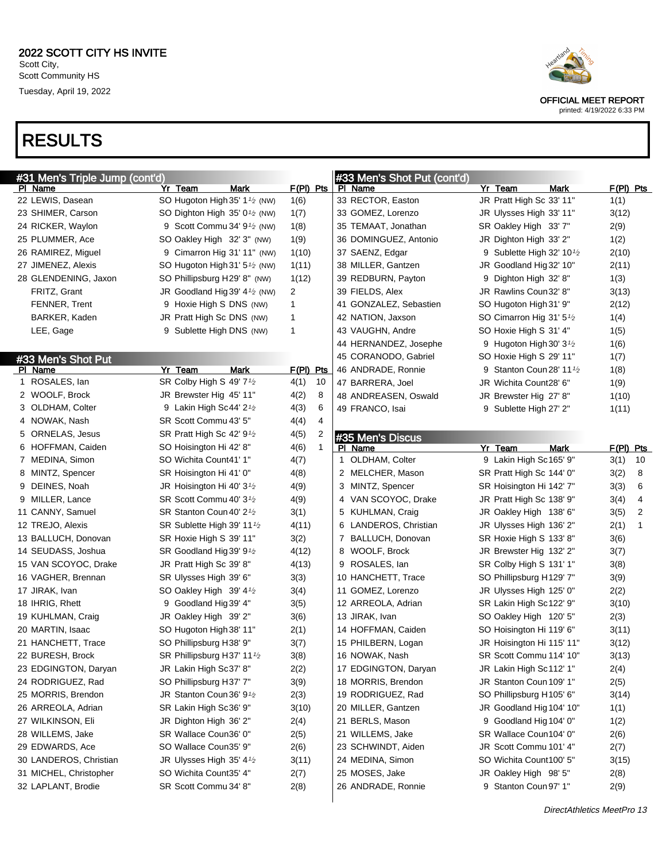# RESULTS



OFFICIAL MEET REPORT

| #31 Men's Triple Jump (cont'd) |                                                        |             | #33 Men's Shot Put (cont'd) |                                                    |                        |  |
|--------------------------------|--------------------------------------------------------|-------------|-----------------------------|----------------------------------------------------|------------------------|--|
| PI Name                        | Mark<br>Yr Team                                        | $F(PI)$ Pts | PI Name                     | Yr Team<br>Mark                                    | $F(PI)$ Pts            |  |
| 22 LEWIS, Dasean               | SO Hugoton High 35' 1 <sup>1</sup> / <sub>2</sub> (NW) | 1(6)        | 33 RECTOR, Easton           | JR Pratt High Sc 33' 11"                           | 1(1)                   |  |
| 23 SHIMER, Carson              | SO Dighton High 35' $0\frac{1}{2}$ (NW)                | 1(7)        | 33 GOMEZ, Lorenzo           | JR Ulysses High 33' 11"                            | 3(12)                  |  |
| 24 RICKER, Waylon              | 9 Scott Commu 34' $91$ (NW)                            | 1(8)        | 35 TEMAAT, Jonathan         | SR Oakley High 33' 7"                              | 2(9)                   |  |
| 25 PLUMMER, Ace                | SO Oakley High 32' 3" (NW)                             | 1(9)        | 36 DOMINGUEZ, Antonio       | JR Dighton High 33' 2"                             | 1(2)                   |  |
| 26 RAMIREZ, Miguel             | 9 Cimarron Hig 31' 11" (NW)                            | 1(10)       | 37 SAENZ, Edgar             | 9 Sublette High 32' 10 <sup><math>1/2</math></sup> | 2(10)                  |  |
| 27 JIMENEZ, Alexis             | SO Hugoton High 31' $5\frac{1}{2}$ (NW)                | 1(11)       | 38 MILLER, Gantzen          | JR Goodland Hig 32' 10"                            | 2(11)                  |  |
| 28 GLENDENING, Jaxon           | SO Phillipsburg H29' 8" (NW)                           | 1(12)       | 39 REDBURN, Payton          | 9 Dighton High 32' 8"                              | 1(3)                   |  |
| FRITZ, Grant                   | JR Goodland Hig 39' $4\frac{1}{2}$ (NW)                | 2           | 39 FIELDS, Alex             | JR Rawlins Coun32' 8"                              | 3(13)                  |  |
| FENNER, Trent                  | 9 Hoxie High S DNS (NW)                                | 1           | 41 GONZALEZ, Sebastien      | SO Hugoton High 31' 9"                             | 2(12)                  |  |
| BARKER, Kaden                  | JR Pratt High Sc DNS (NW)                              | 1           | 42 NATION, Jaxson           | SO Cimarron Hig 31' 5 <sup>1</sup> /2              | 1(4)                   |  |
| LEE, Gage                      | 9 Sublette High DNS (NW)                               | 1           | 43 VAUGHN, Andre            | SO Hoxie High S 31' 4"                             | 1(5)                   |  |
|                                |                                                        |             | 44 HERNANDEZ, Josephe       | 9 Hugoton High 30' $3\frac{1}{2}$                  | 1(6)                   |  |
| #33 Men's Shot Put             |                                                        |             | 45 CORANODO, Gabriel        | SO Hoxie High S 29' 11"                            | 1(7)                   |  |
| PI Name                        | Yr Team<br>Mark                                        | F(PI) Pts   | 46 ANDRADE, Ronnie          | 9 Stanton Coun 28' 11 <sup>1</sup> /2              | 1(8)                   |  |
| 1 ROSALES, lan                 | SR Colby High S 49' 7 <sup>1/2</sup>                   | 4(1)<br>10  | 47 BARRERA, Joel            | JR Wichita Count28' 6"                             | 1(9)                   |  |
| 2 WOOLF, Brock                 | JR Brewster Hig 45' 11"                                | 4(2)<br>8   | 48 ANDREASEN, Oswald        | JR Brewster Hig 27' 8"                             | 1(10)                  |  |
| 3 OLDHAM, Colter               | 9 Lakin High Sc44' 2 <sup>1</sup> / <sub>2</sub>       | 4(3)<br>6   | 49 FRANCO, Isai             | 9 Sublette High 27' 2"                             | 1(11)                  |  |
| 4 NOWAK, Nash                  | SR Scott Commu 43' 5"                                  | 4<br>4(4)   |                             |                                                    |                        |  |
| 5 ORNELAS, Jesus               | SR Pratt High Sc 42' 9 <sup>1</sup> /2                 | 4(5)<br>2   | #35 Men's Discus            |                                                    |                        |  |
| 6 HOFFMAN, Caiden              | SO Hoisington Hi 42' 8"                                | 4(6)<br>1   | PI Name                     | Yr Team<br><b>Mark</b>                             | $F(PI)$ Pts            |  |
| 7 MEDINA, Simon                | SO Wichita Count41' 1"                                 | 4(7)        | 1 OLDHAM, Colter            | 9 Lakin High Sc165' 9"                             | 3(1)<br>10             |  |
| 8 MINTZ, Spencer               | SR Hoisington Hi 41' 0"                                | 4(8)        | 2 MELCHER, Mason            | SR Pratt High Sc 144' 0"                           | 3(2)<br>8              |  |
| 9 DEINES, Noah                 | JR Hoisington Hi 40' $3\frac{1}{2}$                    | 4(9)        | 3 MINTZ, Spencer            | SR Hoisington Hi 142' 7"                           | 6<br>3(3)              |  |
| 9 MILLER, Lance                | SR Scott Commu 40' 31⁄2                                | 4(9)        | 4 VAN SCOYOC, Drake         | JR Pratt High Sc 138' 9"                           | 4<br>3(4)              |  |
| 11 CANNY, Samuel               | SR Stanton Coun 40' 2 <sup>1</sup> /2                  | 3(1)        | 5 KUHLMAN, Craig            | JR Oakley High 138' 6"                             | $\overline{2}$<br>3(5) |  |
| 12 TREJO, Alexis               | SR Sublette High 39' 11 <sup>1</sup> /2                | 4(11)       | 6 LANDEROS, Christian       | JR Ulysses High 136' 2"                            | $\mathbf{1}$<br>2(1)   |  |
| 13 BALLUCH, Donovan            | SR Hoxie High S 39' 11"                                | 3(2)        | 7 BALLUCH, Donovan          | SR Hoxie High S 133' 8"                            | 3(6)                   |  |
| 14 SEUDASS, Joshua             | SR Goodland Hig 39' 9 $\frac{1}{2}$                    | 4(12)       | 8 WOOLF, Brock              | JR Brewster Hig 132' 2"                            | 3(7)                   |  |
| 15 VAN SCOYOC, Drake           | JR Pratt High Sc 39' 8"                                | 4(13)       | 9 ROSALES, Ian              | SR Colby High S 131' 1"                            | 3(8)                   |  |
| 16 VAGHER, Brennan             | SR Ulysses High 39' 6"                                 | 3(3)        | 10 HANCHETT, Trace          | SO Phillipsburg H129' 7"                           | 3(9)                   |  |
| 17 JIRAK, Ivan                 | SO Oakley High 39' $4\frac{1}{2}$                      | 3(4)        | 11 GOMEZ, Lorenzo           | JR Ulysses High 125' 0"                            | 2(2)                   |  |
| 18 IHRIG, Rhett                | 9 Goodland Hig 39' 4"                                  | 3(5)        | 12 ARREOLA, Adrian          | SR Lakin High Sc122' 9"                            | 3(10)                  |  |
| 19 KUHLMAN, Craig              | JR Oakley High 39' 2"                                  | 3(6)        | 13 JIRAK, Ivan              | SO Oakley High 120' 5"                             | 2(3)                   |  |
| 20 MARTIN, Isaac               | SO Hugoton High 38' 11"                                | 2(1)        | 14 HOFFMAN, Caiden          | SO Hoisington Hi 119' 6"                           | 3(11)                  |  |
| 21 HANCHETT, Trace             | SO Phillipsburg H38' 9"                                | 3(7)        | 15 PHILBERN, Logan          | JR Hoisington Hi 115' 11"                          | 3(12)                  |  |
| 22 BURESH, Brock               | SR Phillipsburg H37' 11 $\frac{1}{2}$                  | 3(8)        | 16 NOWAK, Nash              | SR Scott Commu 114' 10"                            | 3(13)                  |  |
| 23 EDGINGTON, Daryan           | JR Lakin High Sc37' 8"                                 | 2(2)        | 17 EDGINGTON, Daryan        | JR Lakin High Sc112' 1"                            | 2(4)                   |  |
| 24 RODRIGUEZ, Rad              | SO Phillipsburg H37' 7"                                | 3(9)        | 18 MORRIS, Brendon          | JR Stanton Coun 109' 1"                            | 2(5)                   |  |
| 25 MORRIS, Brendon             | JR Stanton Coun 36' 9 <sup>1</sup> /2                  | 2(3)        | 19 RODRIGUEZ, Rad           | SO Phillipsburg H105' 6"                           | 3(14)                  |  |
| 26 ARREOLA, Adrian             | SR Lakin High Sc36' 9"                                 | 3(10)       | 20 MILLER, Gantzen          | JR Goodland Hig 104' 10"                           | 1(1)                   |  |
| 27 WILKINSON, Eli              | JR Dighton High 36' 2"                                 | 2(4)        | 21 BERLS, Mason             | 9 Goodland Hig 104' 0"                             | 1(2)                   |  |
| 28 WILLEMS, Jake               | SR Wallace Coun36' 0"                                  | 2(5)        | 21 WILLEMS, Jake            | SR Wallace Coun104' 0"                             | 2(6)                   |  |
| 29 EDWARDS, Ace                | SO Wallace Coun35' 9"                                  | 2(6)        | 23 SCHWINDT, Aiden          | JR Scott Commu 101' 4"                             | 2(7)                   |  |
| 30 LANDEROS, Christian         | JR Ulysses High 35' 41/2                               | 3(11)       | 24 MEDINA, Simon            | SO Wichita Count100' 5"                            | 3(15)                  |  |
| 31 MICHEL, Christopher         | SO Wichita Count35' 4"                                 | 2(7)        | 25 MOSES, Jake              | JR Oakley High 98' 5"                              | 2(8)                   |  |
| 32 LAPLANT, Brodie             | SR Scott Commu 34' 8"                                  | 2(8)        | 26 ANDRADE, Ronnie          | 9 Stanton Coun 97' 1"                              | 2(9)                   |  |
|                                |                                                        |             |                             |                                                    |                        |  |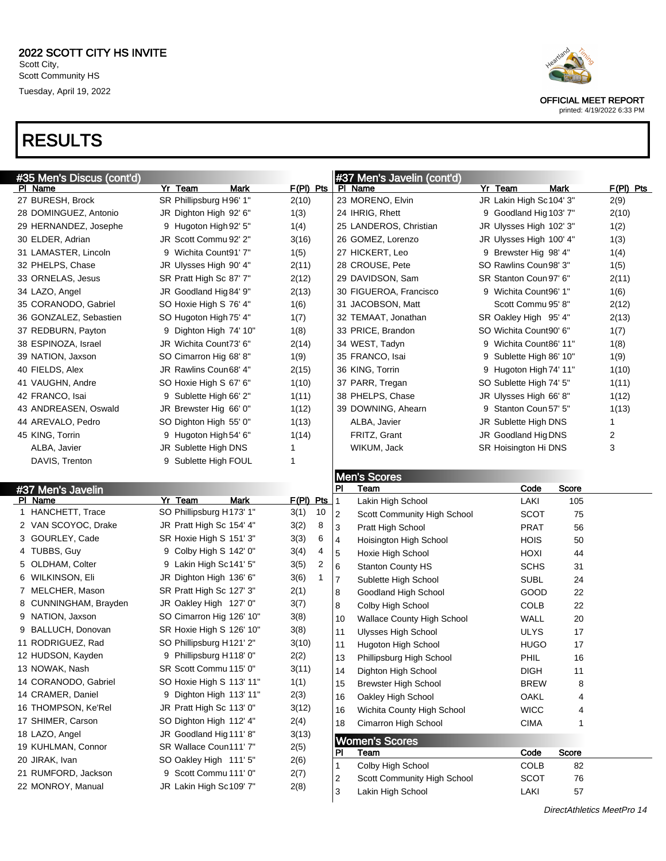## RESULTS

#35 Men's Discus (cont'd)<br>Pl\_Name

Yr Team Mark F(PI) Pts

 BURESH, Brock SR Phillipsburg H96' 1" 2(10) DOMINGUEZ, Antonio JR Dighton High 92' 6" 1(3)

| 29 HERNANDEZ, Josephe                | 9 Hugoton High 92' 5"                             | 1(4)                 | 25 LANDEROS, Christian                  | JR Ulysses High 102' 3" | 1(2)  |
|--------------------------------------|---------------------------------------------------|----------------------|-----------------------------------------|-------------------------|-------|
| 30 ELDER, Adrian                     | JR Scott Commu 92' 2"                             | 3(16)                | 26 GOMEZ, Lorenzo                       | JR Ulysses High 100' 4" | 1(3)  |
| 31 LAMASTER, Lincoln                 | 9 Wichita Count91' 7"                             | 1(5)                 | 27 HICKERT, Leo                         | 9 Brewster Hig 98' 4"   | 1(4)  |
| 32 PHELPS, Chase                     | JR Ulysses High 90' 4"                            | 2(11)                | 28 CROUSE, Pete                         | SO Rawlins Coun98' 3"   | 1(5)  |
| 33 ORNELAS, Jesus                    | SR Pratt High Sc 87' 7"                           | 2(12)                | 29 DAVIDSON, Sam                        | SR Stanton Coun 97' 6"  | 2(11) |
| 34 LAZO, Angel                       | JR Goodland Hig 84' 9"                            | 2(13)                | 30 FIGUEROA, Francisco                  | 9 Wichita Count96' 1"   | 1(6)  |
| 35 CORANODO, Gabriel                 | SO Hoxie High S 76' 4"                            | 1(6)                 | 31 JACOBSON, Matt                       | Scott Commu 95' 8"      | 2(12) |
| 36 GONZALEZ, Sebastien               | SO Hugoton High 75' 4"                            | 1(7)                 | 32 TEMAAT, Jonathan                     | SR Oakley High 95' 4"   | 2(13) |
| 37 REDBURN, Payton                   | 9 Dighton High 74' 10"                            | 1(8)                 | 33 PRICE, Brandon                       | SO Wichita Count90' 6"  | 1(7)  |
| 38 ESPINOZA, Israel                  | JR Wichita Count73' 6"                            | 2(14)                | 34 WEST, Tadyn                          | 9 Wichita Count86' 11"  | 1(8)  |
| 39 NATION, Jaxson                    | SO Cimarron Hig 68' 8"                            | 1(9)                 | 35 FRANCO, Isai                         | 9 Sublette High 86' 10" | 1(9)  |
| 40 FIELDS, Alex                      | JR Rawlins Coun68' 4"                             | 2(15)                | 36 KING, Torrin                         | 9 Hugoton High 74' 11"  | 1(10) |
| 41 VAUGHN, Andre                     | SO Hoxie High S 67' 6"                            | 1(10)                | 37 PARR, Tregan                         | SO Sublette High 74' 5" | 1(11) |
| 42 FRANCO, Isai                      | 9 Sublette High 66' 2"                            | 1(11)                | 38 PHELPS, Chase                        | JR Ulysses High 66' 8"  | 1(12) |
| 43 ANDREASEN, Oswald                 | JR Brewster Hig 66' 0"                            | 1(12)                | 39 DOWNING, Ahearn                      | 9 Stanton Coun 57' 5"   | 1(13) |
| 44 AREVALO, Pedro                    | SO Dighton High 55' 0"                            | 1(13)                | ALBA, Javier                            | JR Sublette High DNS    | 1     |
| 45 KING, Torrin                      | 9 Hugoton High 54' 6"                             | 1(14)                | FRITZ, Grant                            | JR Goodland Hig DNS     | 2     |
| ALBA, Javier                         | JR Sublette High DNS                              | 1                    | WIKUM, Jack                             | SR Hoisington Hi DNS    | 3     |
| DAVIS, Trenton                       | 9 Sublette High FOUL                              | 1                    |                                         |                         |       |
|                                      |                                                   |                      | <b>Men's Scores</b>                     |                         |       |
| #37 Men's Javelin                    |                                                   |                      | PI<br>Team                              | Score<br>Code           |       |
| PI Name                              | Yr_Team<br><b>Mark</b>                            | <u>F(PI) Pts</u>     | Lakin High School                       | LAKI<br>105             |       |
| 1 HANCHETT, Trace                    | SO Phillipsburg H173' 1"                          | 3(1)<br>10           | 2<br>Scott Community High School        | <b>SCOT</b><br>75       |       |
| 2 VAN SCOYOC, Drake                  | JR Pratt High Sc 154' 4"                          | 3(2)<br>8            | 3<br>Pratt High School                  | 56<br>PRAT              |       |
| 3 GOURLEY, Cade                      | SR Hoxie High S 151' 3"                           | 3(3)<br>6            | 4<br>Hoisington High School             | <b>HOIS</b><br>50       |       |
| 4 TUBBS, Guy                         | 9 Colby High S 142' 0"                            | 3(4)<br>4            | 5<br>Hoxie High School                  | HOXI<br>44              |       |
| 5 OLDHAM, Colter                     | 9 Lakin High Sc141' 5"                            | 3(5)<br>2            | 6<br><b>Stanton County HS</b>           | <b>SCHS</b><br>31       |       |
| 6 WILKINSON, Eli                     | JR Dighton High 136' 6"                           | 3(6)<br>$\mathbf{1}$ | 7<br>Sublette High School               | <b>SUBL</b><br>24       |       |
| 7 MELCHER, Mason                     | SR Pratt High Sc 127' 3"                          | 2(1)                 | 8<br>Goodland High School               | GOOD<br>22              |       |
| 8 CUNNINGHAM, Brayden                | JR Oakley High 127' 0"                            | 3(7)                 | 8<br>Colby High School                  | <b>COLB</b><br>22       |       |
| 9 NATION, Jaxson                     | SO Cimarron Hig 126' 10"                          | 3(8)                 | 10<br><b>Wallace County High School</b> | WALL<br>20              |       |
| 9 BALLUCH, Donovan                   | SR Hoxie High S 126' 10"                          | 3(8)                 | 11<br>Ulysses High School               | <b>ULYS</b><br>17       |       |
| 11 RODRIGUEZ, Rad                    |                                                   |                      |                                         |                         |       |
| 12 HUDSON, Kayden                    | SO Phillipsburg H121' 2"                          | 3(10)                |                                         | <b>HUGO</b>             |       |
|                                      | 9 Phillipsburg H118' 0"                           | 2(2)                 | 11<br>Hugoton High School               | 17                      |       |
| 13 NOWAK, Nash                       | SR Scott Commu 115' 0"                            | 3(11)                | 13<br>Phillipsburg High School          | PHIL<br>16              |       |
| 14 CORANODO, Gabriel                 | SO Hoxie High S 113' 11"                          |                      | 14<br>Dighton High School               | <b>DIGH</b><br>11       |       |
| 14 CRAMER, Daniel                    | 9 Dighton High 113' 11"                           | 1(1)                 | 15<br><b>Brewster High School</b>       | <b>BREW</b><br>8        |       |
| 16 THOMPSON, Ke'Rel                  | JR Pratt High Sc 113' 0"                          | 2(3)                 | Oakley High School<br>16                | OAKL<br>4               |       |
|                                      |                                                   | 3(12)                | Wichita County High School<br>16        | <b>WICC</b><br>4        |       |
| 17 SHIMER, Carson                    | SO Dighton High 112' 4"                           | 2(4)                 | Cimarron High School<br>18              | <b>CIMA</b><br>1        |       |
| 18 LAZO, Angel<br>19 KUHLMAN, Connor | JR Goodland Hig 111' 8"<br>SR Wallace Coun111' 7" | 3(13)                | <b>Women's Scores</b>                   |                         |       |
|                                      |                                                   | 2(5)                 | PI<br>Team                              | Score<br>Code           |       |
| 20 JIRAK, Ivan                       | SO Oakley High 111' 5"                            | 2(6)                 | Colby High School                       | <b>COLB</b><br>82       |       |
| 21 RUMFORD, Jackson                  | 9 Scott Commu 111' 0"                             | 2(7)                 | Scott Community High School<br>2        | <b>SCOT</b><br>76       |       |
| 22 MONROY, Manual                    | JR Lakin High Sc109' 7"                           | 2(8)                 | 3<br>Lakin High School                  | LAKI<br>57              |       |

#37 Men's Javelin (cont'd)<br>PL Name

23 MORENO, Elvin JR Lakin High Sc104' 3" 2(9) IHRIG, Rhett 9 Goodland Hig103' 7" 2(10)



Yr Team Mark F(PI) Pts

OFFICIAL MEET REPORT